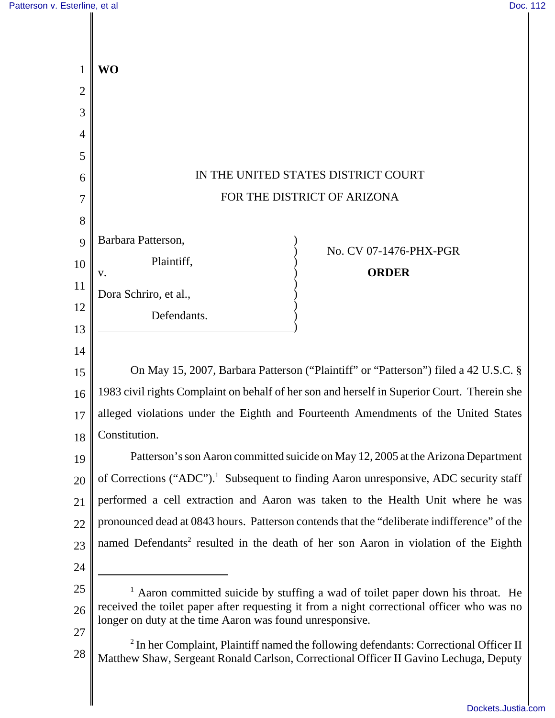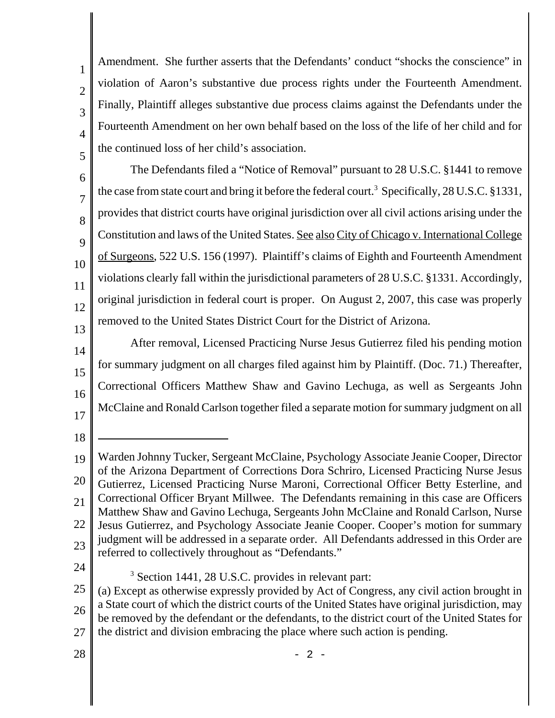Amendment. She further asserts that the Defendants' conduct "shocks the conscience" in violation of Aaron's substantive due process rights under the Fourteenth Amendment. Finally, Plaintiff alleges substantive due process claims against the Defendants under the Fourteenth Amendment on her own behalf based on the loss of the life of her child and for the continued loss of her child's association.

6 7 8 9 10 11 12 13 The Defendants filed a "Notice of Removal" pursuant to 28 U.S.C. §1441 to remove the case from state court and bring it before the federal court.<sup>3</sup> Specifically, 28 U.S.C. §1331, provides that district courts have original jurisdiction over all civil actions arising under the Constitution and laws of the United States. See also City of Chicago v. International College of Surgeons, 522 U.S. 156 (1997). Plaintiff's claims of Eighth and Fourteenth Amendment violations clearly fall within the jurisdictional parameters of 28 U.S.C. §1331. Accordingly, original jurisdiction in federal court is proper. On August 2, 2007, this case was properly removed to the United States District Court for the District of Arizona.

14 15 16 17 After removal, Licensed Practicing Nurse Jesus Gutierrez filed his pending motion for summary judgment on all charges filed against him by Plaintiff. (Doc. 71.) Thereafter, Correctional Officers Matthew Shaw and Gavino Lechuga, as well as Sergeants John McClaine and Ronald Carlson together filed a separate motion for summary judgment on all

18

1

2

3

4

5

24

3 Section 1441, 28 U.S.C. provides in relevant part:

<sup>19</sup> 20 21 22 23 Warden Johnny Tucker, Sergeant McClaine, Psychology Associate Jeanie Cooper, Director of the Arizona Department of Corrections Dora Schriro, Licensed Practicing Nurse Jesus Gutierrez, Licensed Practicing Nurse Maroni, Correctional Officer Betty Esterline, and Correctional Officer Bryant Millwee. The Defendants remaining in this case are Officers Matthew Shaw and Gavino Lechuga, Sergeants John McClaine and Ronald Carlson, Nurse Jesus Gutierrez, and Psychology Associate Jeanie Cooper. Cooper's motion for summary judgment will be addressed in a separate order. All Defendants addressed in this Order are referred to collectively throughout as "Defendants."

<sup>25</sup> 26 27 (a) Except as otherwise expressly provided by Act of Congress, any civil action brought in a State court of which the district courts of the United States have original jurisdiction, may be removed by the defendant or the defendants, to the district court of the United States for the district and division embracing the place where such action is pending.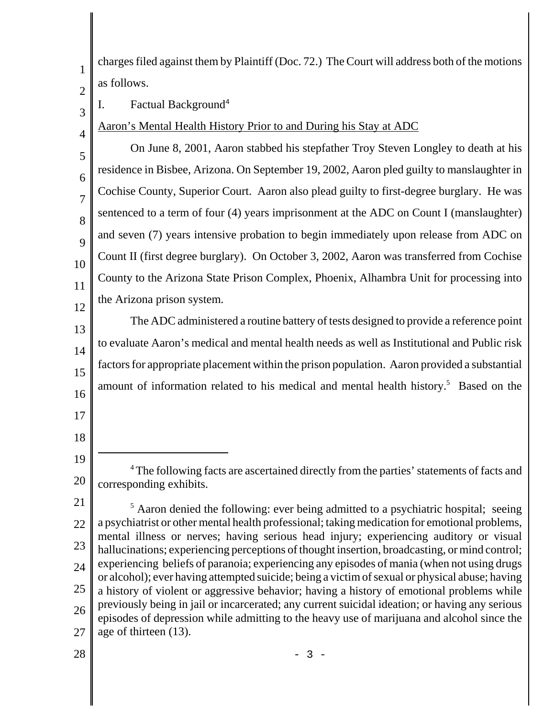charges filed against them by Plaintiff (Doc. 72.) The Court will address both of the motions as follows.

## I. Factual Background<sup>4</sup>

Aaron's Mental Health History Prior to and During his Stay at ADC

5 6 7 8 9 10 11 12 On June 8, 2001, Aaron stabbed his stepfather Troy Steven Longley to death at his residence in Bisbee, Arizona. On September 19, 2002, Aaron pled guilty to manslaughter in Cochise County, Superior Court. Aaron also plead guilty to first-degree burglary. He was sentenced to a term of four (4) years imprisonment at the ADC on Count I (manslaughter) and seven (7) years intensive probation to begin immediately upon release from ADC on Count II (first degree burglary). On October 3, 2002, Aaron was transferred from Cochise County to the Arizona State Prison Complex, Phoenix, Alhambra Unit for processing into the Arizona prison system.

13 14 15 16 The ADC administered a routine battery of tests designed to provide a reference point to evaluate Aaron's medical and mental health needs as well as Institutional and Public risk factors for appropriate placement within the prison population. Aaron provided a substantial amount of information related to his medical and mental health history.<sup>5</sup> Based on the

17

1

2

3

4

- 18
- 19

20

21 22 23 24 25 26 27 <sup>5</sup> Aaron denied the following: ever being admitted to a psychiatric hospital; seeing a psychiatrist or other mental health professional; taking medication for emotional problems, mental illness or nerves; having serious head injury; experiencing auditory or visual hallucinations; experiencing perceptions of thought insertion, broadcasting, or mind control; experiencing beliefs of paranoia; experiencing any episodes of mania (when not using drugs or alcohol); ever having attempted suicide; being a victim of sexual or physical abuse; having a history of violent or aggressive behavior; having a history of emotional problems while previously being in jail or incarcerated; any current suicidal ideation; or having any serious episodes of depression while admitting to the heavy use of marijuana and alcohol since the age of thirteen (13).

28

- 3 -

<sup>&</sup>lt;sup>4</sup>The following facts are ascertained directly from the parties' statements of facts and corresponding exhibits.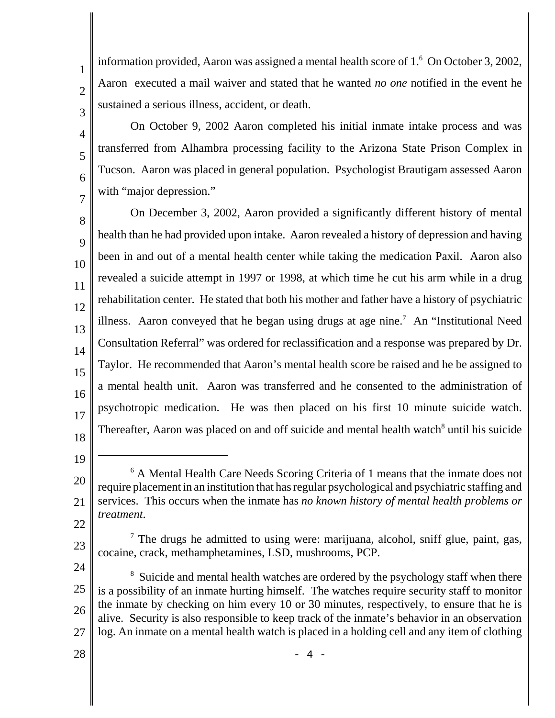information provided, Aaron was assigned a mental health score of 1.<sup>6</sup> On October 3, 2002, Aaron executed a mail waiver and stated that he wanted *no one* notified in the event he sustained a serious illness, accident, or death.

On October 9, 2002 Aaron completed his initial inmate intake process and was transferred from Alhambra processing facility to the Arizona State Prison Complex in Tucson. Aaron was placed in general population. Psychologist Brautigam assessed Aaron with "major depression."

8 9 10 11 12 13 14 15 16 17 18 On December 3, 2002, Aaron provided a significantly different history of mental health than he had provided upon intake. Aaron revealed a history of depression and having been in and out of a mental health center while taking the medication Paxil. Aaron also revealed a suicide attempt in 1997 or 1998, at which time he cut his arm while in a drug rehabilitation center. He stated that both his mother and father have a history of psychiatric illness. Aaron conveyed that he began using drugs at age nine.<sup>7</sup> An "Institutional Need Consultation Referral" was ordered for reclassification and a response was prepared by Dr. Taylor. He recommended that Aaron's mental health score be raised and he be assigned to a mental health unit. Aaron was transferred and he consented to the administration of psychotropic medication. He was then placed on his first 10 minute suicide watch. Thereafter, Aaron was placed on and off suicide and mental health watch<sup>8</sup> until his suicide

19

20

21

1

2

3

4

5

6

7

22 23

<sup>&</sup>lt;sup>6</sup> A Mental Health Care Needs Scoring Criteria of 1 means that the inmate does not require placement in an institution that has regular psychological and psychiatric staffing and services. This occurs when the inmate has *no known history of mental health problems or treatment*.

 $<sup>7</sup>$  The drugs he admitted to using were: marijuana, alcohol, sniff glue, paint, gas,</sup> cocaine, crack, methamphetamines, LSD, mushrooms, PCP.

<sup>24</sup> 25 26 27 <sup>8</sup> Suicide and mental health watches are ordered by the psychology staff when there is a possibility of an inmate hurting himself. The watches require security staff to monitor the inmate by checking on him every 10 or 30 minutes, respectively, to ensure that he is alive. Security is also responsible to keep track of the inmate's behavior in an observation log. An inmate on a mental health watch is placed in a holding cell and any item of clothing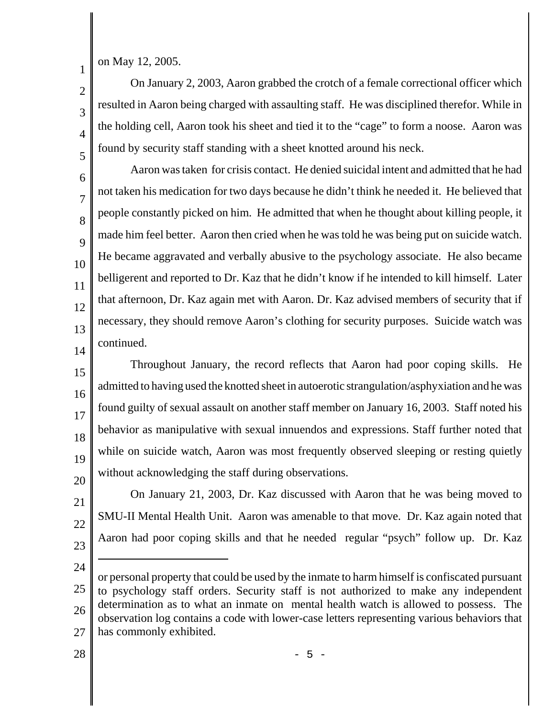on May 12, 2005.

1

2

3

4

5

On January 2, 2003, Aaron grabbed the crotch of a female correctional officer which resulted in Aaron being charged with assaulting staff. He was disciplined therefor. While in the holding cell, Aaron took his sheet and tied it to the "cage" to form a noose. Aaron was found by security staff standing with a sheet knotted around his neck.

6 7 8 9 10 11 12 13 14 Aaron was taken for crisis contact. He denied suicidal intent and admitted that he had not taken his medication for two days because he didn't think he needed it. He believed that people constantly picked on him. He admitted that when he thought about killing people, it made him feel better. Aaron then cried when he was told he was being put on suicide watch. He became aggravated and verbally abusive to the psychology associate. He also became belligerent and reported to Dr. Kaz that he didn't know if he intended to kill himself. Later that afternoon, Dr. Kaz again met with Aaron. Dr. Kaz advised members of security that if necessary, they should remove Aaron's clothing for security purposes. Suicide watch was continued.

15 16 17 18 19 20 Throughout January, the record reflects that Aaron had poor coping skills. He admitted to having used the knotted sheet in autoerotic strangulation/asphyxiation and he was found guilty of sexual assault on another staff member on January 16, 2003. Staff noted his behavior as manipulative with sexual innuendos and expressions. Staff further noted that while on suicide watch, Aaron was most frequently observed sleeping or resting quietly without acknowledging the staff during observations.

21 22 23 On January 21, 2003, Dr. Kaz discussed with Aaron that he was being moved to SMU-II Mental Health Unit. Aaron was amenable to that move. Dr. Kaz again noted that Aaron had poor coping skills and that he needed regular "psych" follow up. Dr. Kaz

24

- 5 -

<sup>25</sup> 26 27 or personal property that could be used by the inmate to harm himself is confiscated pursuant to psychology staff orders. Security staff is not authorized to make any independent determination as to what an inmate on mental health watch is allowed to possess. The observation log contains a code with lower-case letters representing various behaviors that has commonly exhibited.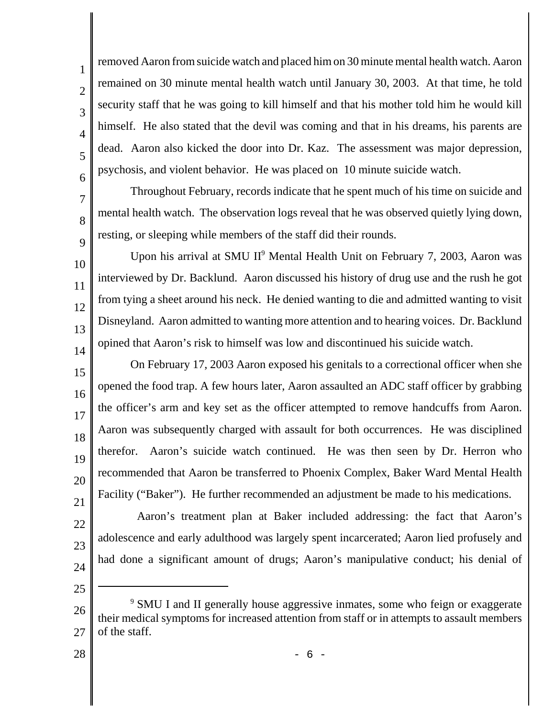removed Aaron from suicide watch and placed him on 30 minute mental health watch. Aaron remained on 30 minute mental health watch until January 30, 2003. At that time, he told security staff that he was going to kill himself and that his mother told him he would kill himself. He also stated that the devil was coming and that in his dreams, his parents are dead. Aaron also kicked the door into Dr. Kaz. The assessment was major depression, psychosis, and violent behavior. He was placed on 10 minute suicide watch.

Throughout February, records indicate that he spent much of his time on suicide and mental health watch. The observation logs reveal that he was observed quietly lying down, resting, or sleeping while members of the staff did their rounds.

Upon his arrival at SMU II<sup>9</sup> Mental Health Unit on February 7, 2003, Aaron was interviewed by Dr. Backlund. Aaron discussed his history of drug use and the rush he got from tying a sheet around his neck. He denied wanting to die and admitted wanting to visit Disneyland. Aaron admitted to wanting more attention and to hearing voices. Dr. Backlund opined that Aaron's risk to himself was low and discontinued his suicide watch.

15 16 17 18 19 20 21 On February 17, 2003 Aaron exposed his genitals to a correctional officer when she opened the food trap. A few hours later, Aaron assaulted an ADC staff officer by grabbing the officer's arm and key set as the officer attempted to remove handcuffs from Aaron. Aaron was subsequently charged with assault for both occurrences. He was disciplined therefor. Aaron's suicide watch continued. He was then seen by Dr. Herron who recommended that Aaron be transferred to Phoenix Complex, Baker Ward Mental Health Facility ("Baker"). He further recommended an adjustment be made to his medications.

 Aaron's treatment plan at Baker included addressing: the fact that Aaron's adolescence and early adulthood was largely spent incarcerated; Aaron lied profusely and had done a significant amount of drugs; Aaron's manipulative conduct; his denial of

24 25

22

23

1

2

3

4

5

6

7

8

9

10

11

12

13

14

- 6 -

<sup>26</sup> 27 <sup>9</sup> SMU I and II generally house aggressive inmates, some who feign or exaggerate their medical symptoms for increased attention from staff or in attempts to assault members of the staff.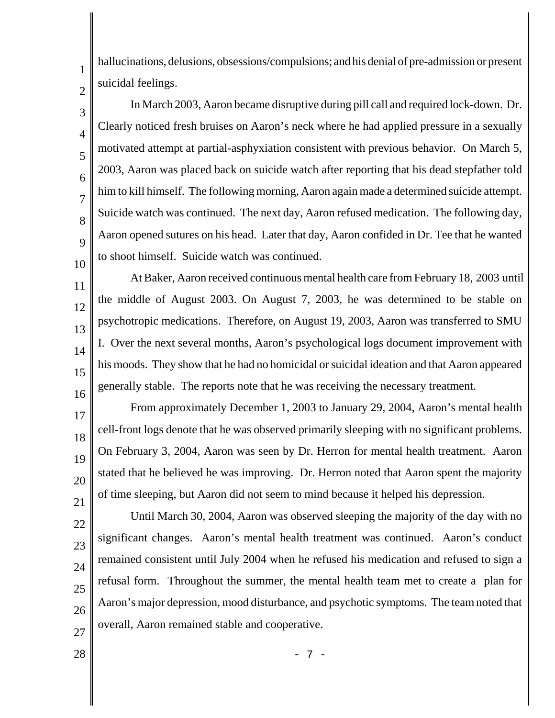hallucinations, delusions, obsessions/compulsions; and his denial of pre-admission or present suicidal feelings.

In March 2003, Aaron became disruptive during pill call and required lock-down. Dr. Clearly noticed fresh bruises on Aaron's neck where he had applied pressure in a sexually motivated attempt at partial-asphyxiation consistent with previous behavior. On March 5, 2003, Aaron was placed back on suicide watch after reporting that his dead stepfather told him to kill himself. The following morning, Aaron again made a determined suicide attempt. Suicide watch was continued. The next day, Aaron refused medication. The following day, Aaron opened sutures on his head. Later that day, Aaron confided in Dr. Tee that he wanted to shoot himself. Suicide watch was continued.

11 12 13 14 15 16 At Baker, Aaron received continuous mental health care from February 18, 2003 until the middle of August 2003. On August 7, 2003, he was determined to be stable on psychotropic medications. Therefore, on August 19, 2003, Aaron was transferred to SMU I. Over the next several months, Aaron's psychological logs document improvement with his moods. They show that he had no homicidal or suicidal ideation and that Aaron appeared generally stable. The reports note that he was receiving the necessary treatment.

17 18 19 20 21 From approximately December 1, 2003 to January 29, 2004, Aaron's mental health cell-front logs denote that he was observed primarily sleeping with no significant problems. On February 3, 2004, Aaron was seen by Dr. Herron for mental health treatment. Aaron stated that he believed he was improving. Dr. Herron noted that Aaron spent the majority of time sleeping, but Aaron did not seem to mind because it helped his depression.

22 23 24 25 26 27 Until March 30, 2004, Aaron was observed sleeping the majority of the day with no significant changes. Aaron's mental health treatment was continued. Aaron's conduct remained consistent until July 2004 when he refused his medication and refused to sign a refusal form. Throughout the summer, the mental health team met to create a plan for Aaron's major depression, mood disturbance, and psychotic symptoms. The team noted that overall, Aaron remained stable and cooperative.

 $28 \parallel -7 -$ 

1

2

3

4

5

6

7

8

 $\mathbf Q$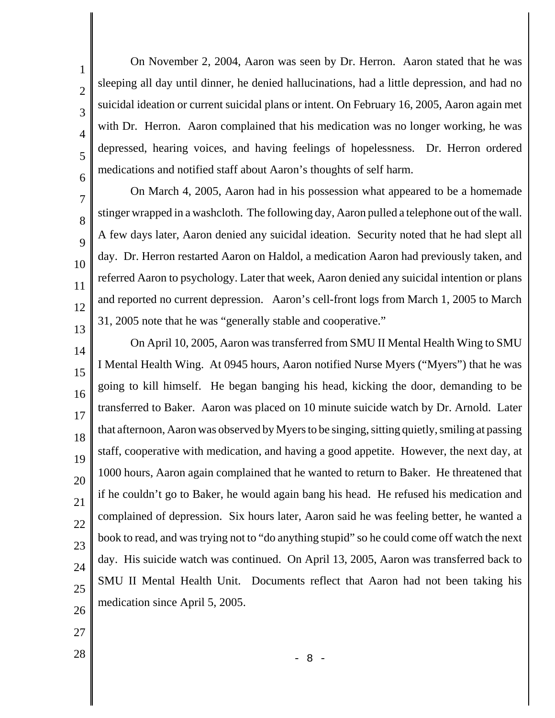On November 2, 2004, Aaron was seen by Dr. Herron. Aaron stated that he was sleeping all day until dinner, he denied hallucinations, had a little depression, and had no suicidal ideation or current suicidal plans or intent. On February 16, 2005, Aaron again met with Dr. Herron. Aaron complained that his medication was no longer working, he was depressed, hearing voices, and having feelings of hopelessness. Dr. Herron ordered medications and notified staff about Aaron's thoughts of self harm.

On March 4, 2005, Aaron had in his possession what appeared to be a homemade stinger wrapped in a washcloth. The following day, Aaron pulled a telephone out of the wall. A few days later, Aaron denied any suicidal ideation. Security noted that he had slept all day. Dr. Herron restarted Aaron on Haldol, a medication Aaron had previously taken, and referred Aaron to psychology. Later that week, Aaron denied any suicidal intention or plans and reported no current depression. Aaron's cell-front logs from March 1, 2005 to March 31, 2005 note that he was "generally stable and cooperative."

- 14 15 16 17 18 19 20 21 22 23 24 25 26 On April 10, 2005, Aaron was transferred from SMU II Mental Health Wing to SMU I Mental Health Wing. At 0945 hours, Aaron notified Nurse Myers ("Myers") that he was going to kill himself. He began banging his head, kicking the door, demanding to be transferred to Baker. Aaron was placed on 10 minute suicide watch by Dr. Arnold. Later that afternoon, Aaron was observed by Myers to be singing, sitting quietly, smiling at passing staff, cooperative with medication, and having a good appetite. However, the next day, at 1000 hours, Aaron again complained that he wanted to return to Baker. He threatened that if he couldn't go to Baker, he would again bang his head. He refused his medication and complained of depression. Six hours later, Aaron said he was feeling better, he wanted a book to read, and was trying not to "do anything stupid" so he could come off watch the next day. His suicide watch was continued. On April 13, 2005, Aaron was transferred back to SMU II Mental Health Unit. Documents reflect that Aaron had not been taking his medication since April 5, 2005.
- 27

1

2

3

4

5

6

7

8

9

10

11

12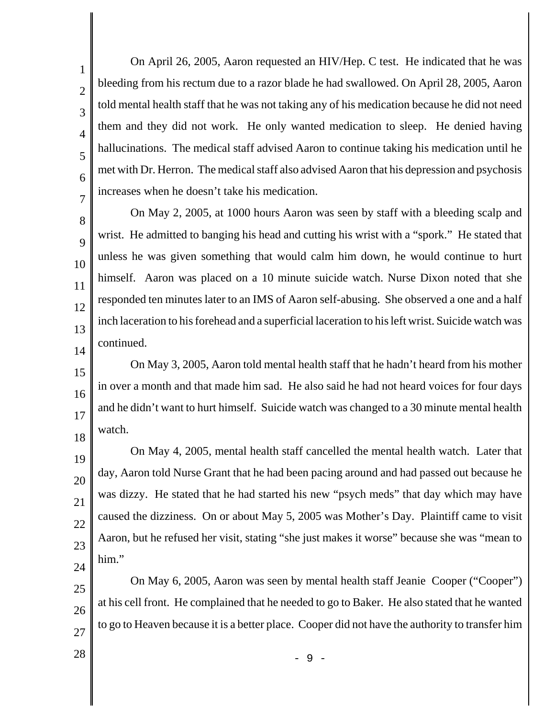On April 26, 2005, Aaron requested an HIV/Hep. C test. He indicated that he was bleeding from his rectum due to a razor blade he had swallowed. On April 28, 2005, Aaron told mental health staff that he was not taking any of his medication because he did not need them and they did not work. He only wanted medication to sleep. He denied having hallucinations. The medical staff advised Aaron to continue taking his medication until he met with Dr. Herron. The medical staff also advised Aaron that his depression and psychosis increases when he doesn't take his medication.

On May 2, 2005, at 1000 hours Aaron was seen by staff with a bleeding scalp and wrist. He admitted to banging his head and cutting his wrist with a "spork." He stated that unless he was given something that would calm him down, he would continue to hurt himself. Aaron was placed on a 10 minute suicide watch. Nurse Dixon noted that she responded ten minutes later to an IMS of Aaron self-abusing. She observed a one and a half inch laceration to his forehead and a superficial laceration to his left wrist. Suicide watch was continued.

15 16 17 18 On May 3, 2005, Aaron told mental health staff that he hadn't heard from his mother in over a month and that made him sad. He also said he had not heard voices for four days and he didn't want to hurt himself. Suicide watch was changed to a 30 minute mental health watch.

19 20 21 22 23 24 On May 4, 2005, mental health staff cancelled the mental health watch. Later that day, Aaron told Nurse Grant that he had been pacing around and had passed out because he was dizzy. He stated that he had started his new "psych meds" that day which may have caused the dizziness. On or about May 5, 2005 was Mother's Day. Plaintiff came to visit Aaron, but he refused her visit, stating "she just makes it worse" because she was "mean to him."

On May 6, 2005, Aaron was seen by mental health staff Jeanie Cooper ("Cooper") at his cell front. He complained that he needed to go to Baker. He also stated that he wanted to go to Heaven because it is a better place. Cooper did not have the authority to transfer him

25

26

27

1

2

3

4

5

6

7

8

9

10

11

12

13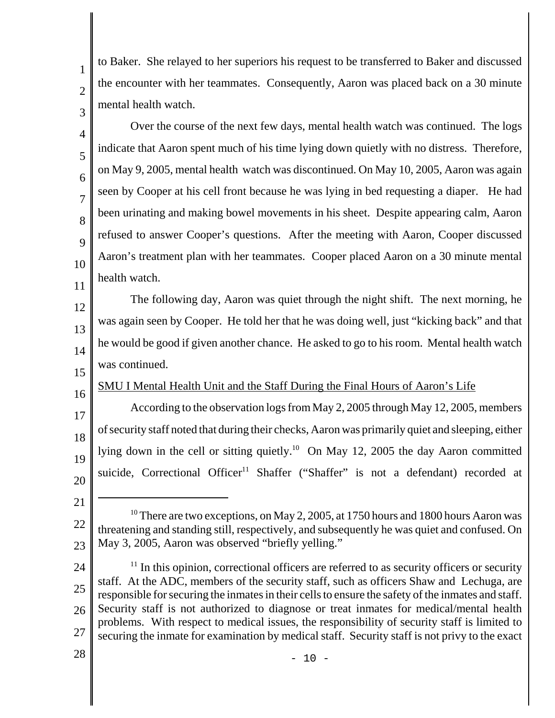to Baker. She relayed to her superiors his request to be transferred to Baker and discussed the encounter with her teammates. Consequently, Aaron was placed back on a 30 minute mental health watch.

4 5 6 7 8 9 10 11 Over the course of the next few days, mental health watch was continued. The logs indicate that Aaron spent much of his time lying down quietly with no distress. Therefore, on May 9, 2005, mental health watch was discontinued. On May 10, 2005, Aaron was again seen by Cooper at his cell front because he was lying in bed requesting a diaper. He had been urinating and making bowel movements in his sheet. Despite appearing calm, Aaron refused to answer Cooper's questions. After the meeting with Aaron, Cooper discussed Aaron's treatment plan with her teammates. Cooper placed Aaron on a 30 minute mental health watch.

12 13 14 15 The following day, Aaron was quiet through the night shift. The next morning, he was again seen by Cooper. He told her that he was doing well, just "kicking back" and that he would be good if given another chance. He asked to go to his room. Mental health watch was continued.

SMU I Mental Health Unit and the Staff During the Final Hours of Aaron's Life

17 18 19 20 According to the observation logs from May 2, 2005 through May 12, 2005, members of security staff noted that during their checks, Aaron was primarily quiet and sleeping, either lying down in the cell or sitting quietly.<sup>10</sup> On May 12, 2005 the day Aaron committed suicide, Correctional Officer<sup>11</sup> Shaffer ("Shaffer" is not a defendant) recorded at

21

16

1

2

3

24 25 26 27  $<sup>11</sup>$  In this opinion, correctional officers are referred to as security officers or security</sup> staff. At the ADC, members of the security staff, such as officers Shaw and Lechuga, are responsible for securing the inmates in their cells to ensure the safety of the inmates and staff. Security staff is not authorized to diagnose or treat inmates for medical/mental health problems. With respect to medical issues, the responsibility of security staff is limited to securing the inmate for examination by medical staff. Security staff is not privy to the exact

<sup>22</sup> 23 <sup>10</sup> There are two exceptions, on May 2, 2005, at 1750 hours and 1800 hours Aaron was threatening and standing still, respectively, and subsequently he was quiet and confused. On May 3, 2005, Aaron was observed "briefly yelling."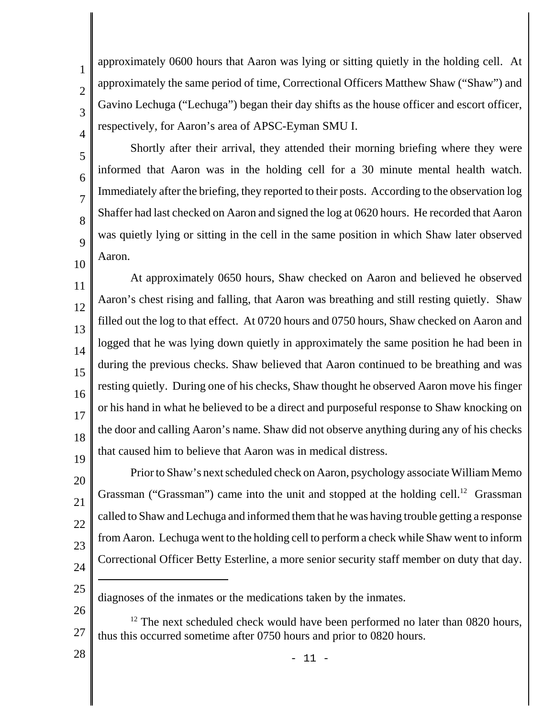approximately 0600 hours that Aaron was lying or sitting quietly in the holding cell. At approximately the same period of time, Correctional Officers Matthew Shaw ("Shaw") and Gavino Lechuga ("Lechuga") began their day shifts as the house officer and escort officer, respectively, for Aaron's area of APSC-Eyman SMU I.

5 6 7 8 9 10 Shortly after their arrival, they attended their morning briefing where they were informed that Aaron was in the holding cell for a 30 minute mental health watch. Immediately after the briefing, they reported to their posts. According to the observation log Shaffer had last checked on Aaron and signed the log at 0620 hours. He recorded that Aaron was quietly lying or sitting in the cell in the same position in which Shaw later observed Aaron.

11 12 13 14 15 16 17 18 19 At approximately 0650 hours, Shaw checked on Aaron and believed he observed Aaron's chest rising and falling, that Aaron was breathing and still resting quietly. Shaw filled out the log to that effect. At 0720 hours and 0750 hours, Shaw checked on Aaron and logged that he was lying down quietly in approximately the same position he had been in during the previous checks. Shaw believed that Aaron continued to be breathing and was resting quietly. During one of his checks, Shaw thought he observed Aaron move his finger or his hand in what he believed to be a direct and purposeful response to Shaw knocking on the door and calling Aaron's name. Shaw did not observe anything during any of his checks that caused him to believe that Aaron was in medical distress.

20 21 22 23 24 Prior to Shaw's next scheduled check on Aaron, psychology associate William Memo Grassman ("Grassman") came into the unit and stopped at the holding cell.<sup>12</sup> Grassman called to Shaw and Lechuga and informed them that he was having trouble getting a response from Aaron. Lechuga went to the holding cell to perform a check while Shaw went to inform Correctional Officer Betty Esterline, a more senior security staff member on duty that day.

25

26

1

2

3

4

diagnoses of the inmates or the medications taken by the inmates.

- 27  $12$  The next scheduled check would have been performed no later than 0820 hours, thus this occurred sometime after 0750 hours and prior to 0820 hours.
- 28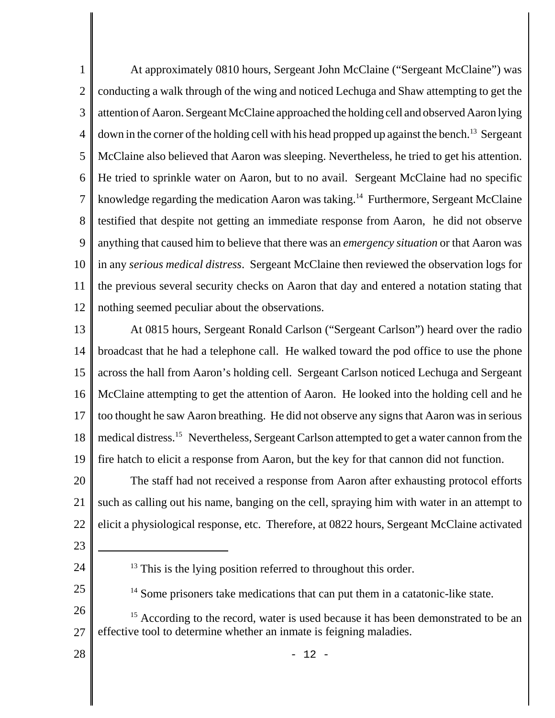1 2 3 4 5 6 7 8 9 10 11 12 At approximately 0810 hours, Sergeant John McClaine ("Sergeant McClaine") was conducting a walk through of the wing and noticed Lechuga and Shaw attempting to get the attention of Aaron. Sergeant McClaine approached the holding cell and observed Aaron lying down in the corner of the holding cell with his head propped up against the bench.<sup>13</sup> Sergeant McClaine also believed that Aaron was sleeping. Nevertheless, he tried to get his attention. He tried to sprinkle water on Aaron, but to no avail. Sergeant McClaine had no specific knowledge regarding the medication Aaron was taking.<sup>14</sup> Furthermore, Sergeant McClaine testified that despite not getting an immediate response from Aaron, he did not observe anything that caused him to believe that there was an *emergency situation* or that Aaron was in any *serious medical distress*. Sergeant McClaine then reviewed the observation logs for the previous several security checks on Aaron that day and entered a notation stating that nothing seemed peculiar about the observations.

13 14 15 16 17 18 19 At 0815 hours, Sergeant Ronald Carlson ("Sergeant Carlson") heard over the radio broadcast that he had a telephone call. He walked toward the pod office to use the phone across the hall from Aaron's holding cell. Sergeant Carlson noticed Lechuga and Sergeant McClaine attempting to get the attention of Aaron. He looked into the holding cell and he too thought he saw Aaron breathing. He did not observe any signs that Aaron was in serious medical distress.<sup>15</sup> Nevertheless, Sergeant Carlson attempted to get a water cannon from the fire hatch to elicit a response from Aaron, but the key for that cannon did not function.

20 21 22 The staff had not received a response from Aaron after exhausting protocol efforts such as calling out his name, banging on the cell, spraying him with water in an attempt to elicit a physiological response, etc. Therefore, at 0822 hours, Sergeant McClaine activated

23

24

- $13$  This is the lying position referred to throughout this order.
- 25

<sup>14</sup> Some prisoners take medications that can put them in a catatonic-like state.

<sup>26</sup> 27 <sup>15</sup> According to the record, water is used because it has been demonstrated to be an effective tool to determine whether an inmate is feigning maladies.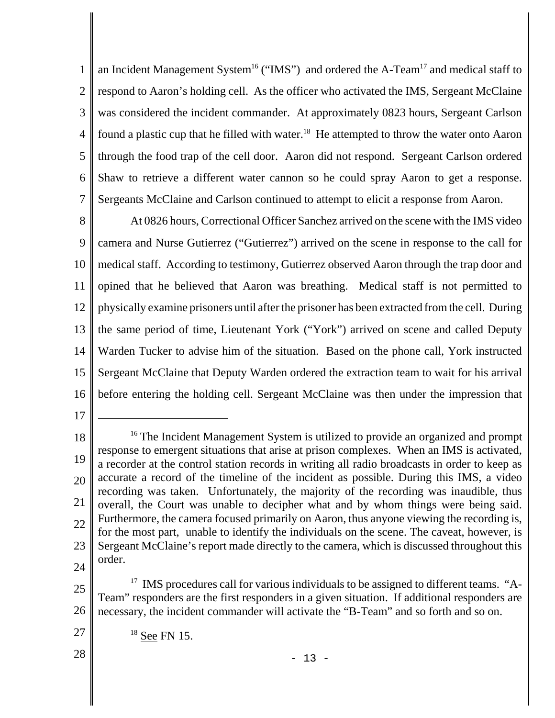1 2 3 4 5 6 7 an Incident Management System<sup>16</sup> ("IMS") and ordered the A-Team<sup>17</sup> and medical staff to respond to Aaron's holding cell. As the officer who activated the IMS, Sergeant McClaine was considered the incident commander. At approximately 0823 hours, Sergeant Carlson found a plastic cup that he filled with water.<sup>18</sup> He attempted to throw the water onto Aaron through the food trap of the cell door. Aaron did not respond. Sergeant Carlson ordered Shaw to retrieve a different water cannon so he could spray Aaron to get a response. Sergeants McClaine and Carlson continued to attempt to elicit a response from Aaron.

8 9 10 11 12 13 14 15 16 At 0826 hours, Correctional Officer Sanchez arrived on the scene with the IMS video camera and Nurse Gutierrez ("Gutierrez") arrived on the scene in response to the call for medical staff. According to testimony, Gutierrez observed Aaron through the trap door and opined that he believed that Aaron was breathing. Medical staff is not permitted to physically examine prisoners until after the prisoner has been extracted from the cell. During the same period of time, Lieutenant York ("York") arrived on scene and called Deputy Warden Tucker to advise him of the situation. Based on the phone call, York instructed Sergeant McClaine that Deputy Warden ordered the extraction team to wait for his arrival before entering the holding cell. Sergeant McClaine was then under the impression that

17

- 
- 25

26

27

<sup>17</sup> IMS procedures call for various individuals to be assigned to different teams. "A-Team" responders are the first responders in a given situation. If additional responders are necessary, the incident commander will activate the "B-Team" and so forth and so on.

- $18$  See FN 15.
- 28

<sup>18</sup> 19 20 21 22 23 24 <sup>16</sup> The Incident Management System is utilized to provide an organized and prompt response to emergent situations that arise at prison complexes. When an IMS is activated, a recorder at the control station records in writing all radio broadcasts in order to keep as accurate a record of the timeline of the incident as possible. During this IMS, a video recording was taken. Unfortunately, the majority of the recording was inaudible, thus overall, the Court was unable to decipher what and by whom things were being said. Furthermore, the camera focused primarily on Aaron, thus anyone viewing the recording is, for the most part, unable to identify the individuals on the scene. The caveat, however, is Sergeant McClaine's report made directly to the camera, which is discussed throughout this order.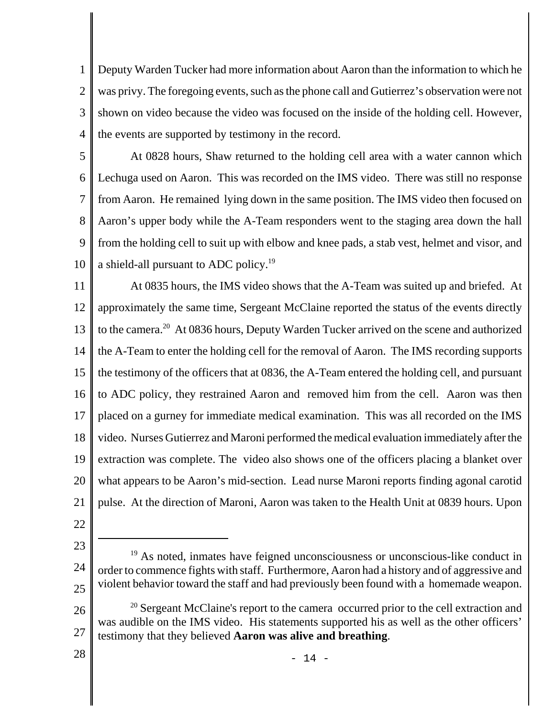1 2 3 4 Deputy Warden Tucker had more information about Aaron than the information to which he was privy. The foregoing events, such as the phone call and Gutierrez's observation were not shown on video because the video was focused on the inside of the holding cell. However, the events are supported by testimony in the record.

5 6 7 8 9 10 At 0828 hours, Shaw returned to the holding cell area with a water cannon which Lechuga used on Aaron. This was recorded on the IMS video. There was still no response from Aaron. He remained lying down in the same position. The IMS video then focused on Aaron's upper body while the A-Team responders went to the staging area down the hall from the holding cell to suit up with elbow and knee pads, a stab vest, helmet and visor, and a shield-all pursuant to ADC policy.<sup>19</sup>

11 12 13 14 15 16 17 18 19 20 21 At 0835 hours, the IMS video shows that the A-Team was suited up and briefed. At approximately the same time, Sergeant McClaine reported the status of the events directly to the camera.<sup>20</sup> At 0836 hours, Deputy Warden Tucker arrived on the scene and authorized the A-Team to enter the holding cell for the removal of Aaron. The IMS recording supports the testimony of the officers that at 0836, the A-Team entered the holding cell, and pursuant to ADC policy, they restrained Aaron and removed him from the cell. Aaron was then placed on a gurney for immediate medical examination. This was all recorded on the IMS video. Nurses Gutierrez and Maroni performed the medical evaluation immediately after the extraction was complete. The video also shows one of the officers placing a blanket over what appears to be Aaron's mid-section. Lead nurse Maroni reports finding agonal carotid pulse. At the direction of Maroni, Aaron was taken to the Health Unit at 0839 hours. Upon

- 22
- 23

<sup>24</sup> 25 <sup>19</sup> As noted, inmates have feigned unconsciousness or unconscious-like conduct in order to commence fights with staff. Furthermore, Aaron had a history and of aggressive and violent behavior toward the staff and had previously been found with a homemade weapon.

<sup>26</sup> 27  $20$  Sergeant McClaine's report to the camera occurred prior to the cell extraction and was audible on the IMS video. His statements supported his as well as the other officers' testimony that they believed **Aaron was alive and breathing**.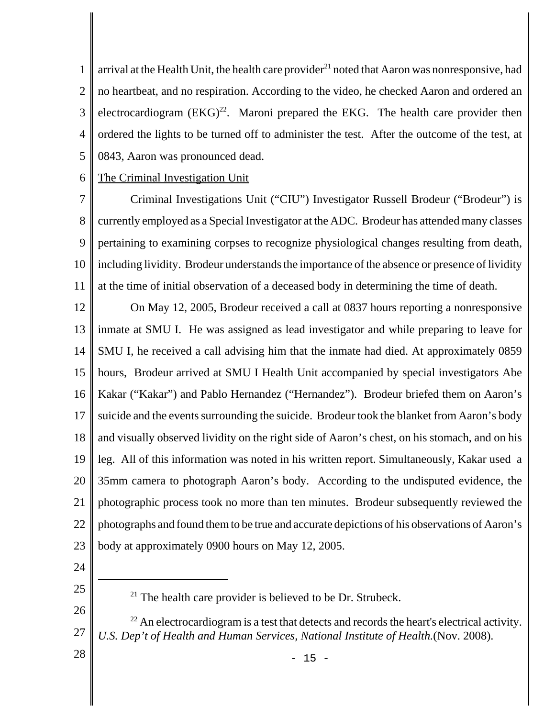1 2 3 4 5 arrival at the Health Unit, the health care provider $^{21}$  noted that Aaron was nonresponsive, had no heartbeat, and no respiration. According to the video, he checked Aaron and ordered an electrocardiogram  $(EKG)^{22}$ . Maroni prepared the EKG. The health care provider then ordered the lights to be turned off to administer the test. After the outcome of the test, at 0843, Aaron was pronounced dead.

6 The Criminal Investigation Unit

7 8 9 10 11 Criminal Investigations Unit ("CIU") Investigator Russell Brodeur ("Brodeur") is currently employed as a Special Investigator at the ADC. Brodeur has attended many classes pertaining to examining corpses to recognize physiological changes resulting from death, including lividity. Brodeur understands the importance of the absence or presence of lividity at the time of initial observation of a deceased body in determining the time of death.

12 13 14 15 16 17 18 19 20 21 22 23 On May 12, 2005, Brodeur received a call at 0837 hours reporting a nonresponsive inmate at SMU I. He was assigned as lead investigator and while preparing to leave for SMU I, he received a call advising him that the inmate had died. At approximately 0859 hours, Brodeur arrived at SMU I Health Unit accompanied by special investigators Abe Kakar ("Kakar") and Pablo Hernandez ("Hernandez"). Brodeur briefed them on Aaron's suicide and the events surrounding the suicide. Brodeur took the blanket from Aaron's body and visually observed lividity on the right side of Aaron's chest, on his stomach, and on his leg. All of this information was noted in his written report. Simultaneously, Kakar used a 35mm camera to photograph Aaron's body. According to the undisputed evidence, the photographic process took no more than ten minutes. Brodeur subsequently reviewed the photographs and found them to be true and accurate depictions of his observations of Aaron's body at approximately 0900 hours on May 12, 2005.

- 24
- 25 26

 $21$  The health care provider is believed to be Dr. Strubeck.

<sup>27</sup>  $22$  An electrocardiogram is a test that detects and records the heart's electrical activity. *U.S. Dep't of Health and Human Services, National Institute of Health.*(Nov. 2008).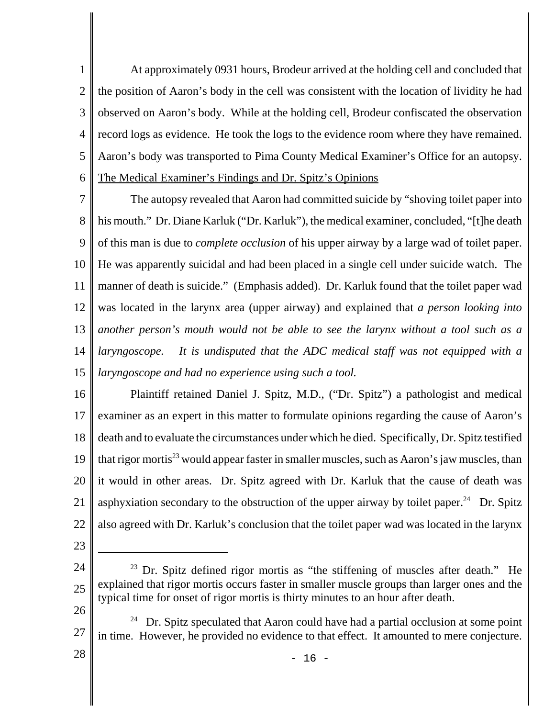1 2 3 4 5 6 At approximately 0931 hours, Brodeur arrived at the holding cell and concluded that the position of Aaron's body in the cell was consistent with the location of lividity he had observed on Aaron's body. While at the holding cell, Brodeur confiscated the observation record logs as evidence. He took the logs to the evidence room where they have remained. Aaron's body was transported to Pima County Medical Examiner's Office for an autopsy. The Medical Examiner's Findings and Dr. Spitz's Opinions

7 8 9 10 11 12 13 14 15 The autopsy revealed that Aaron had committed suicide by "shoving toilet paper into his mouth." Dr. Diane Karluk ("Dr. Karluk"), the medical examiner, concluded, "[t]he death of this man is due to *complete occlusion* of his upper airway by a large wad of toilet paper. He was apparently suicidal and had been placed in a single cell under suicide watch. The manner of death is suicide." (Emphasis added). Dr. Karluk found that the toilet paper wad was located in the larynx area (upper airway) and explained that *a person looking into another person's mouth would not be able to see the larynx without a tool such as a laryngoscope. It is undisputed that the ADC medical staff was not equipped with a laryngoscope and had no experience using such a tool.*

16 17 18 19 20 21 22 Plaintiff retained Daniel J. Spitz, M.D., ("Dr. Spitz") a pathologist and medical examiner as an expert in this matter to formulate opinions regarding the cause of Aaron's death and to evaluate the circumstances under which he died. Specifically, Dr. Spitz testified that rigor mortis<sup>23</sup> would appear faster in smaller muscles, such as Aaron's jaw muscles, than it would in other areas. Dr. Spitz agreed with Dr. Karluk that the cause of death was asphyxiation secondary to the obstruction of the upper airway by toilet paper.<sup>24</sup> Dr. Spitz also agreed with Dr. Karluk's conclusion that the toilet paper wad was located in the larynx

<sup>24</sup> 25 26 <sup>23</sup> Dr. Spitz defined rigor mortis as "the stiffening of muscles after death." He explained that rigor mortis occurs faster in smaller muscle groups than larger ones and the typical time for onset of rigor mortis is thirty minutes to an hour after death.

<sup>27</sup> <sup>24</sup> Dr. Spitz speculated that Aaron could have had a partial occlusion at some point in time. However, he provided no evidence to that effect. It amounted to mere conjecture.

<sup>28</sup>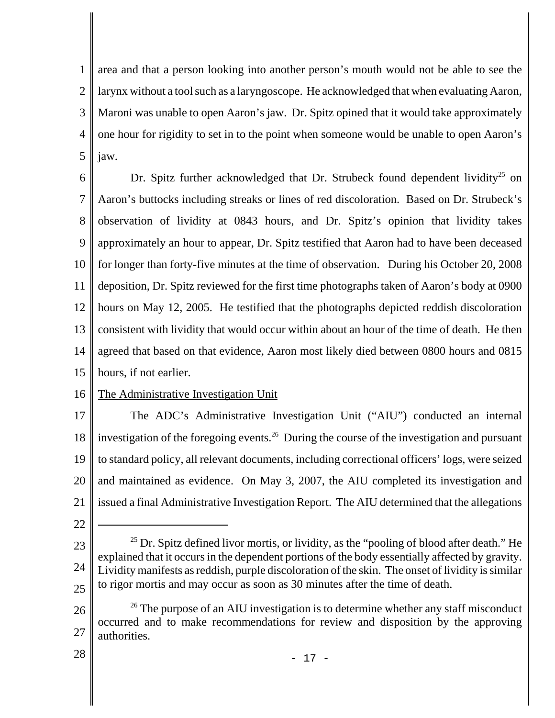1 2 3 4 5 area and that a person looking into another person's mouth would not be able to see the larynx without a tool such as a laryngoscope. He acknowledged that when evaluating Aaron, Maroni was unable to open Aaron's jaw. Dr. Spitz opined that it would take approximately one hour for rigidity to set in to the point when someone would be unable to open Aaron's jaw.

6 7 8 9 10 11 12 13 14 15 Dr. Spitz further acknowledged that Dr. Strubeck found dependent lividity<sup>25</sup> on Aaron's buttocks including streaks or lines of red discoloration. Based on Dr. Strubeck's observation of lividity at 0843 hours, and Dr. Spitz's opinion that lividity takes approximately an hour to appear, Dr. Spitz testified that Aaron had to have been deceased for longer than forty-five minutes at the time of observation. During his October 20, 2008 deposition, Dr. Spitz reviewed for the first time photographs taken of Aaron's body at 0900 hours on May 12, 2005. He testified that the photographs depicted reddish discoloration consistent with lividity that would occur within about an hour of the time of death. He then agreed that based on that evidence, Aaron most likely died between 0800 hours and 0815 hours, if not earlier.

#### 16 The Administrative Investigation Unit

17 18 19 20 21 The ADC's Administrative Investigation Unit ("AIU") conducted an internal investigation of the foregoing events.<sup>26</sup> During the course of the investigation and pursuant to standard policy, all relevant documents, including correctional officers' logs, were seized and maintained as evidence. On May 3, 2007, the AIU completed its investigation and issued a final Administrative Investigation Report. The AIU determined that the allegations

- 22
- 23
- 24 25

<sup>&</sup>lt;sup>25</sup> Dr. Spitz defined livor mortis, or lividity, as the "pooling of blood after death." He explained that it occurs in the dependent portions of the body essentially affected by gravity. Lividity manifests as reddish, purple discoloration of the skin. The onset of lividity is similar to rigor mortis and may occur as soon as 30 minutes after the time of death.

<sup>26</sup> 27  $26$  The purpose of an AIU investigation is to determine whether any staff misconduct occurred and to make recommendations for review and disposition by the approving authorities.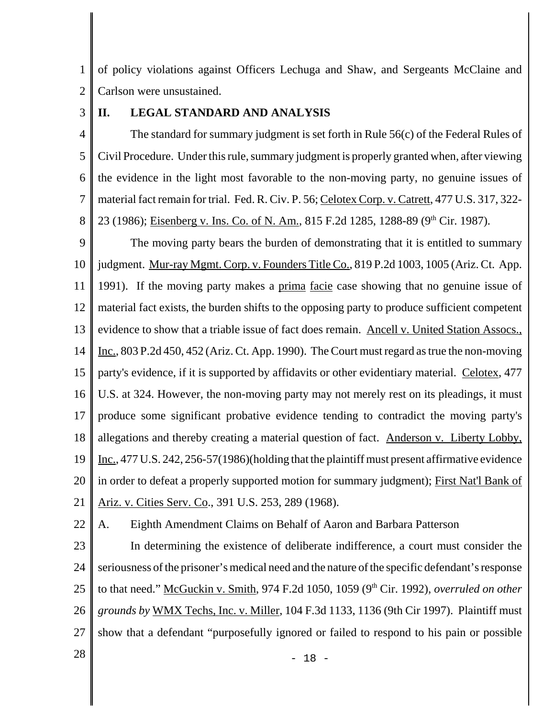1 2 of policy violations against Officers Lechuga and Shaw, and Sergeants McClaine and Carlson were unsustained.

3

## **II. LEGAL STANDARD AND ANALYSIS**

4 5 6 7 8 The standard for summary judgment is set forth in Rule 56(c) of the Federal Rules of Civil Procedure. Under this rule, summary judgment is properly granted when, after viewing the evidence in the light most favorable to the non-moving party, no genuine issues of material fact remain for trial. Fed. R. Civ. P. 56; Celotex Corp. v. Catrett, 477 U.S. 317, 322- 23 (1986); Eisenberg v. Ins. Co. of N. Am., 815 F.2d 1285, 1288-89 (9<sup>th</sup> Cir. 1987).

9 10 11 12 13 14 15 16 17 18 19 20 21 The moving party bears the burden of demonstrating that it is entitled to summary judgment. Mur-ray Mgmt. Corp. v. Founders Title Co., 819 P.2d 1003, 1005 (Ariz. Ct. App. 1991). If the moving party makes a prima facie case showing that no genuine issue of material fact exists, the burden shifts to the opposing party to produce sufficient competent evidence to show that a triable issue of fact does remain. Ancell v. United Station Assocs., Inc., 803 P.2d 450, 452 (Ariz. Ct. App. 1990). The Court must regard as true the non-moving party's evidence, if it is supported by affidavits or other evidentiary material. Celotex, 477 U.S. at 324. However, the non-moving party may not merely rest on its pleadings, it must produce some significant probative evidence tending to contradict the moving party's allegations and thereby creating a material question of fact. Anderson v. Liberty Lobby, Inc., 477 U.S. 242, 256-57(1986)(holding that the plaintiff must present affirmative evidence in order to defeat a properly supported motion for summary judgment); First Nat'l Bank of Ariz. v. Cities Serv. Co., 391 U.S. 253, 289 (1968).

22 A. Eighth Amendment Claims on Behalf of Aaron and Barbara Patterson

23 24 25 26 27 In determining the existence of deliberate indifference, a court must consider the seriousness of the prisoner's medical need and the nature of the specific defendant's response to that need." McGuckin v. Smith, 974 F.2d 1050, 1059 (9<sup>th</sup> Cir. 1992), *overruled on other grounds by* WMX Techs, Inc. v. Miller, 104 F.3d 1133, 1136 (9th Cir 1997). Plaintiff must show that a defendant "purposefully ignored or failed to respond to his pain or possible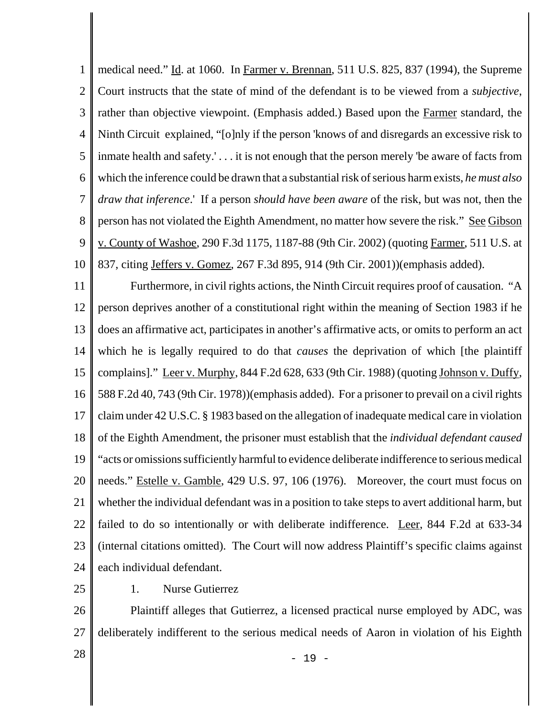1 2 3 4 5 6 7 8 9 10 medical need." Id. at 1060. In Farmer v. Brennan, 511 U.S. 825, 837 (1994), the Supreme Court instructs that the state of mind of the defendant is to be viewed from a *subjective*, rather than objective viewpoint. (Emphasis added.) Based upon the Farmer standard, the Ninth Circuit explained, "[o]nly if the person 'knows of and disregards an excessive risk to inmate health and safety.' . . . it is not enough that the person merely 'be aware of facts from which the inference could be drawn that a substantial risk of serious harm exists, *he must also draw that inference*.' If a person *should have been aware* of the risk, but was not, then the person has not violated the Eighth Amendment, no matter how severe the risk." See Gibson v. County of Washoe, 290 F.3d 1175, 1187-88 (9th Cir. 2002) (quoting Farmer, 511 U.S. at 837, citing Jeffers v. Gomez, 267 F.3d 895, 914 (9th Cir. 2001))(emphasis added).

11 12 13 14 15 16 17 18 19 20 21 22 23 24 Furthermore, in civil rights actions, the Ninth Circuit requires proof of causation. "A person deprives another of a constitutional right within the meaning of Section 1983 if he does an affirmative act, participates in another's affirmative acts, or omits to perform an act which he is legally required to do that *causes* the deprivation of which [the plaintiff complains]." Leer v. Murphy, 844 F.2d 628, 633 (9th Cir. 1988) (quoting Johnson v. Duffy, 588 F.2d 40, 743 (9th Cir. 1978))(emphasis added). For a prisoner to prevail on a civil rights claim under 42 U.S.C. § 1983 based on the allegation of inadequate medical care in violation of the Eighth Amendment, the prisoner must establish that the *individual defendant caused* "acts or omissions sufficiently harmful to evidence deliberate indifference to serious medical needs." Estelle v. Gamble, 429 U.S. 97, 106 (1976). Moreover, the court must focus on whether the individual defendant was in a position to take steps to avert additional harm, but failed to do so intentionally or with deliberate indifference. Leer, 844 F.2d at 633-34 (internal citations omitted). The Court will now address Plaintiff's specific claims against each individual defendant.

25

# 1. Nurse Gutierrez

26 27 Plaintiff alleges that Gutierrez, a licensed practical nurse employed by ADC, was deliberately indifferent to the serious medical needs of Aaron in violation of his Eighth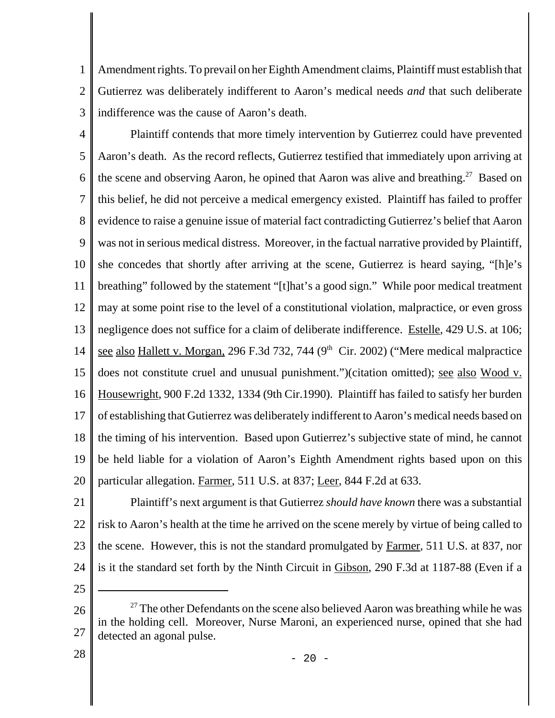1 2 3 Amendment rights. To prevail on her Eighth Amendment claims, Plaintiff must establish that Gutierrez was deliberately indifferent to Aaron's medical needs *and* that such deliberate indifference was the cause of Aaron's death.

4 5 6 7 8 9 10 11 12 13 14 15 16 17 18 19 20 Plaintiff contends that more timely intervention by Gutierrez could have prevented Aaron's death. As the record reflects, Gutierrez testified that immediately upon arriving at the scene and observing Aaron, he opined that Aaron was alive and breathing.<sup>27</sup> Based on this belief, he did not perceive a medical emergency existed. Plaintiff has failed to proffer evidence to raise a genuine issue of material fact contradicting Gutierrez's belief that Aaron was not in serious medical distress. Moreover, in the factual narrative provided by Plaintiff, she concedes that shortly after arriving at the scene, Gutierrez is heard saying, "[h]e's breathing" followed by the statement "[t]hat's a good sign." While poor medical treatment may at some point rise to the level of a constitutional violation, malpractice, or even gross negligence does not suffice for a claim of deliberate indifference. Estelle, 429 U.S. at 106; see also Hallett v. Morgan, 296 F.3d 732, 744 (9<sup>th</sup> Cir. 2002) ("Mere medical malpractice does not constitute cruel and unusual punishment.")(citation omitted); <u>see also Wood v.</u> Housewright, 900 F.2d 1332, 1334 (9th Cir.1990). Plaintiff has failed to satisfy her burden of establishing that Gutierrez was deliberately indifferent to Aaron's medical needs based on the timing of his intervention. Based upon Gutierrez's subjective state of mind, he cannot be held liable for a violation of Aaron's Eighth Amendment rights based upon on this particular allegation. Farmer, 511 U.S. at 837; Leer, 844 F.2d at 633.

- 
- 21 22 23 24 Plaintiff's next argument is that Gutierrez *should have known* there was a substantial risk to Aaron's health at the time he arrived on the scene merely by virtue of being called to the scene. However, this is not the standard promulgated by Farmer, 511 U.S. at 837, nor is it the standard set forth by the Ninth Circuit in Gibson, 290 F.3d at 1187-88 (Even if a
- 25

<sup>26</sup> 27  $27$  The other Defendants on the scene also believed Aaron was breathing while he was in the holding cell. Moreover, Nurse Maroni, an experienced nurse, opined that she had detected an agonal pulse.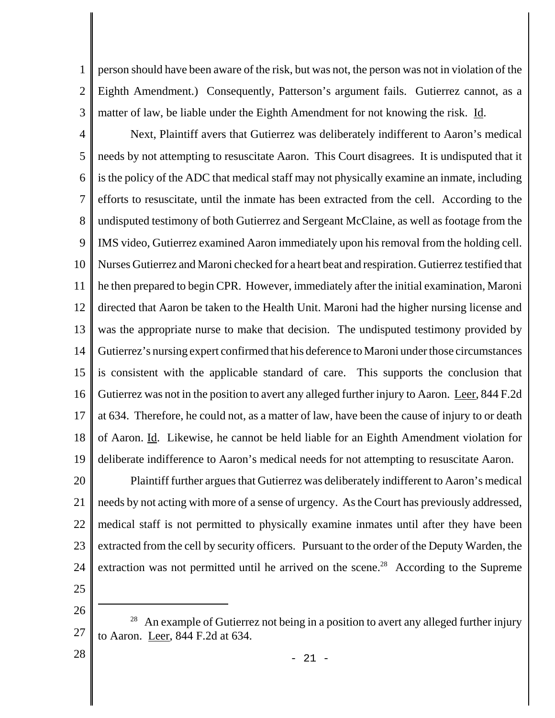1 2 3 person should have been aware of the risk, but was not, the person was not in violation of the Eighth Amendment.) Consequently, Patterson's argument fails. Gutierrez cannot, as a matter of law, be liable under the Eighth Amendment for not knowing the risk. Id.

4 5 6 7 8 9 10 11 12 13 14 15 16 17 18 19 Next, Plaintiff avers that Gutierrez was deliberately indifferent to Aaron's medical needs by not attempting to resuscitate Aaron. This Court disagrees. It is undisputed that it is the policy of the ADC that medical staff may not physically examine an inmate, including efforts to resuscitate, until the inmate has been extracted from the cell. According to the undisputed testimony of both Gutierrez and Sergeant McClaine, as well as footage from the IMS video, Gutierrez examined Aaron immediately upon his removal from the holding cell. Nurses Gutierrez and Maroni checked for a heart beat and respiration. Gutierrez testified that he then prepared to begin CPR. However, immediately after the initial examination, Maroni directed that Aaron be taken to the Health Unit. Maroni had the higher nursing license and was the appropriate nurse to make that decision. The undisputed testimony provided by Gutierrez's nursing expert confirmed that his deference to Maroni under those circumstances is consistent with the applicable standard of care. This supports the conclusion that Gutierrez was not in the position to avert any alleged further injury to Aaron. Leer, 844 F.2d at 634. Therefore, he could not, as a matter of law, have been the cause of injury to or death of Aaron. Id. Likewise, he cannot be held liable for an Eighth Amendment violation for deliberate indifference to Aaron's medical needs for not attempting to resuscitate Aaron.

20 21 22 23 24 Plaintiff further argues that Gutierrez was deliberately indifferent to Aaron's medical needs by not acting with more of a sense of urgency. As the Court has previously addressed, medical staff is not permitted to physically examine inmates until after they have been extracted from the cell by security officers. Pursuant to the order of the Deputy Warden, the extraction was not permitted until he arrived on the scene.<sup>28</sup> According to the Supreme

25

26

<sup>27</sup> <sup>28</sup> An example of Gutierrez not being in a position to avert any alleged further injury to Aaron. Leer, 844 F.2d at 634.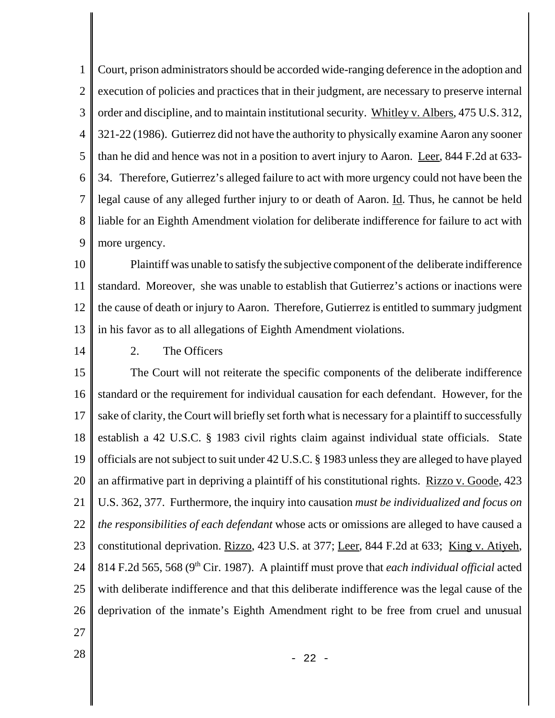1 2 3 4 5 6 7 8 9 Court, prison administrators should be accorded wide-ranging deference in the adoption and execution of policies and practices that in their judgment, are necessary to preserve internal order and discipline, and to maintain institutional security. Whitley v. Albers, 475 U.S. 312, 321-22 (1986). Gutierrez did not have the authority to physically examine Aaron any sooner than he did and hence was not in a position to avert injury to Aaron. Leer, 844 F.2d at 633- 34. Therefore, Gutierrez's alleged failure to act with more urgency could not have been the legal cause of any alleged further injury to or death of Aaron. Id. Thus, he cannot be held liable for an Eighth Amendment violation for deliberate indifference for failure to act with more urgency.

10 11 12 13 Plaintiff was unable to satisfy the subjective component of the deliberate indifference standard. Moreover, she was unable to establish that Gutierrez's actions or inactions were the cause of death or injury to Aaron. Therefore, Gutierrez is entitled to summary judgment in his favor as to all allegations of Eighth Amendment violations.

14

2. The Officers

15 16 17 18 19 20 21 22 23 24 25 26 27 The Court will not reiterate the specific components of the deliberate indifference standard or the requirement for individual causation for each defendant. However, for the sake of clarity, the Court will briefly set forth what is necessary for a plaintiff to successfully establish a 42 U.S.C. § 1983 civil rights claim against individual state officials. State officials are not subject to suit under 42 U.S.C. § 1983 unless they are alleged to have played an affirmative part in depriving a plaintiff of his constitutional rights. Rizzo v. Goode, 423 U.S. 362, 377. Furthermore, the inquiry into causation *must be individualized and focus on the responsibilities of each defendant* whose acts or omissions are alleged to have caused a constitutional deprivation. Rizzo, 423 U.S. at 377; Leer, 844 F.2d at 633; King v. Atiyeh, 814 F.2d 565, 568 (9th Cir. 1987). A plaintiff must prove that *each individual official* acted with deliberate indifference and that this deliberate indifference was the legal cause of the deprivation of the inmate's Eighth Amendment right to be free from cruel and unusual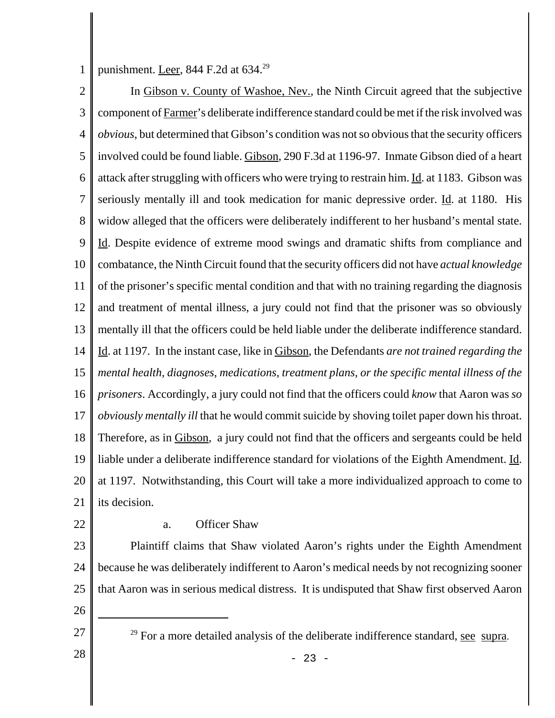1 punishment. Leer, 844 F.2d at 634.<sup>29</sup>

2 3 4 5 6 7 8 9 10 11 12 13 14 15 16 17 18 19 20 21 In Gibson v. County of Washoe, Nev., the Ninth Circuit agreed that the subjective component of Farmer's deliberate indifference standard could be met if the risk involved was *obvious*, but determined that Gibson's condition was not so obvious that the security officers involved could be found liable. Gibson, 290 F.3d at 1196-97. Inmate Gibson died of a heart attack after struggling with officers who were trying to restrain him. Id. at 1183. Gibson was seriously mentally ill and took medication for manic depressive order. Id. at 1180. His widow alleged that the officers were deliberately indifferent to her husband's mental state. Id. Despite evidence of extreme mood swings and dramatic shifts from compliance and combatance, the Ninth Circuit found that the security officers did not have *actual knowledge* of the prisoner's specific mental condition and that with no training regarding the diagnosis and treatment of mental illness, a jury could not find that the prisoner was so obviously mentally ill that the officers could be held liable under the deliberate indifference standard. Id. at 1197. In the instant case, like in Gibson, the Defendants *are not trained regarding the mental health, diagnoses, medications, treatment plans, or the specific mental illness of the prisoners*. Accordingly, a jury could not find that the officers could *know* that Aaron was *so obviously mentally ill* that he would commit suicide by shoving toilet paper down his throat. Therefore, as in **Gibson**, a jury could not find that the officers and sergeants could be held liable under a deliberate indifference standard for violations of the Eighth Amendment. Id. at 1197. Notwithstanding, this Court will take a more individualized approach to come to its decision.

22

## a. Officer Shaw

23 24 25 Plaintiff claims that Shaw violated Aaron's rights under the Eighth Amendment because he was deliberately indifferent to Aaron's medical needs by not recognizing sooner that Aaron was in serious medical distress. It is undisputed that Shaw first observed Aaron

- 26
- 27

28

- 23 -

 $29$  For a more detailed analysis of the deliberate indifference standard, see supra.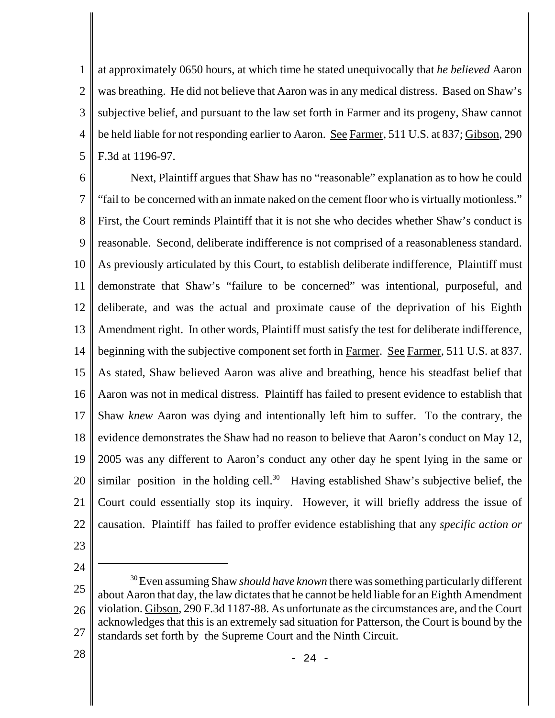1 2 3 4 5 at approximately 0650 hours, at which time he stated unequivocally that *he believed* Aaron was breathing. He did not believe that Aaron was in any medical distress. Based on Shaw's subjective belief, and pursuant to the law set forth in **Farmer** and its progeny, Shaw cannot be held liable for not responding earlier to Aaron. See Farmer, 511 U.S. at 837; Gibson, 290 F.3d at 1196-97.

6 7 8 9 10 11 12 13 14 15 16 17 18 19 20 21 22 Next, Plaintiff argues that Shaw has no "reasonable" explanation as to how he could "fail to be concerned with an inmate naked on the cement floor who is virtually motionless." First, the Court reminds Plaintiff that it is not she who decides whether Shaw's conduct is reasonable. Second, deliberate indifference is not comprised of a reasonableness standard. As previously articulated by this Court, to establish deliberate indifference, Plaintiff must demonstrate that Shaw's "failure to be concerned" was intentional, purposeful, and deliberate, and was the actual and proximate cause of the deprivation of his Eighth Amendment right. In other words, Plaintiff must satisfy the test for deliberate indifference, beginning with the subjective component set forth in Farmer. See Farmer, 511 U.S. at 837. As stated, Shaw believed Aaron was alive and breathing, hence his steadfast belief that Aaron was not in medical distress. Plaintiff has failed to present evidence to establish that Shaw *knew* Aaron was dying and intentionally left him to suffer. To the contrary, the evidence demonstrates the Shaw had no reason to believe that Aaron's conduct on May 12, 2005 was any different to Aaron's conduct any other day he spent lying in the same or similar position in the holding cell.<sup>30</sup> Having established Shaw's subjective belief, the Court could essentially stop its inquiry. However, it will briefly address the issue of causation. Plaintiff has failed to proffer evidence establishing that any *specific action or*

23

- 25 26 27 <sup>30</sup> Even assuming Shaw *should have known* there was something particularly different about Aaron that day, the law dictates that he cannot be held liable for an Eighth Amendment violation. Gibson, 290 F.3d 1187-88. As unfortunate as the circumstances are, and the Court acknowledges that this is an extremely sad situation for Patterson, the Court is bound by the standards set forth by the Supreme Court and the Ninth Circuit.
- 28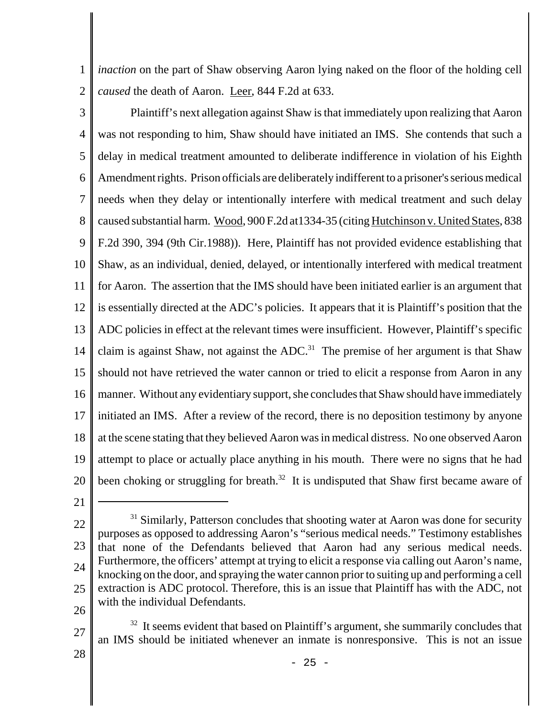1 2 *inaction* on the part of Shaw observing Aaron lying naked on the floor of the holding cell *caused* the death of Aaron. Leer, 844 F.2d at 633.

3 4 5 6 7 8 9 10 11 12 13 14 15 16 17 18 19 20 Plaintiff's next allegation against Shaw is that immediately upon realizing that Aaron was not responding to him, Shaw should have initiated an IMS. She contends that such a delay in medical treatment amounted to deliberate indifference in violation of his Eighth Amendment rights. Prison officials are deliberately indifferent to a prisoner's serious medical needs when they delay or intentionally interfere with medical treatment and such delay caused substantial harm. Wood, 900 F.2d at1334-35 (citing Hutchinson v. United States, 838 F.2d 390, 394 (9th Cir.1988)). Here, Plaintiff has not provided evidence establishing that Shaw, as an individual, denied, delayed, or intentionally interfered with medical treatment for Aaron. The assertion that the IMS should have been initiated earlier is an argument that is essentially directed at the ADC's policies. It appears that it is Plaintiff's position that the ADC policies in effect at the relevant times were insufficient. However, Plaintiff's specific claim is against Shaw, not against the ADC.<sup>31</sup> The premise of her argument is that Shaw should not have retrieved the water cannon or tried to elicit a response from Aaron in any manner. Without any evidentiary support, she concludes that Shaw should have immediately initiated an IMS. After a review of the record, there is no deposition testimony by anyone at the scene stating that they believed Aaron was in medical distress. No one observed Aaron attempt to place or actually place anything in his mouth. There were no signs that he had been choking or struggling for breath.<sup>32</sup> It is undisputed that Shaw first became aware of

- 27 <sup>32</sup> It seems evident that based on Plaintiff's argument, she summarily concludes that an IMS should be initiated whenever an inmate is nonresponsive. This is not an issue
- 28

<sup>22</sup> 23 24 25 26  $31$  Similarly, Patterson concludes that shooting water at Aaron was done for security purposes as opposed to addressing Aaron's "serious medical needs." Testimony establishes that none of the Defendants believed that Aaron had any serious medical needs. Furthermore, the officers' attempt at trying to elicit a response via calling out Aaron's name, knocking on the door, and spraying the water cannon prior to suiting up and performing a cell extraction is ADC protocol. Therefore, this is an issue that Plaintiff has with the ADC, not with the individual Defendants.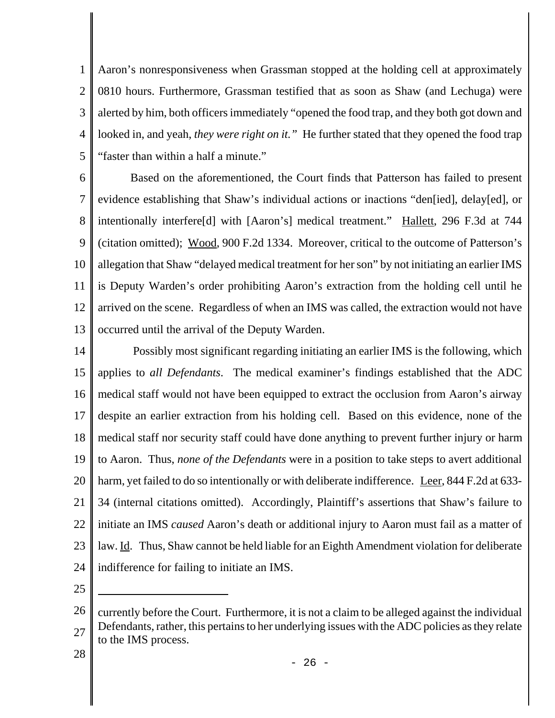1 2 3 4 5 Aaron's nonresponsiveness when Grassman stopped at the holding cell at approximately 0810 hours. Furthermore, Grassman testified that as soon as Shaw (and Lechuga) were alerted by him, both officers immediately "opened the food trap, and they both got down and looked in, and yeah, *they were right on it.*" He further stated that they opened the food trap "faster than within a half a minute."

6 7 8 9 10 11 12 13 Based on the aforementioned, the Court finds that Patterson has failed to present evidence establishing that Shaw's individual actions or inactions "den[ied], delay[ed], or intentionally interfere[d] with [Aaron's] medical treatment." Hallett, 296 F.3d at 744 (citation omitted); Wood, 900 F.2d 1334. Moreover, critical to the outcome of Patterson's allegation that Shaw "delayed medical treatment for her son" by not initiating an earlier IMS is Deputy Warden's order prohibiting Aaron's extraction from the holding cell until he arrived on the scene. Regardless of when an IMS was called, the extraction would not have occurred until the arrival of the Deputy Warden.

14 15 16 17 18 19 20 21 22 23 24 Possibly most significant regarding initiating an earlier IMS is the following, which applies to *all Defendants*. The medical examiner's findings established that the ADC medical staff would not have been equipped to extract the occlusion from Aaron's airway despite an earlier extraction from his holding cell. Based on this evidence, none of the medical staff nor security staff could have done anything to prevent further injury or harm to Aaron. Thus, *none of the Defendants* were in a position to take steps to avert additional harm, yet failed to do so intentionally or with deliberate indifference. Leer, 844 F.2d at 633-34 (internal citations omitted). Accordingly, Plaintiff's assertions that Shaw's failure to initiate an IMS *caused* Aaron's death or additional injury to Aaron must fail as a matter of law. Id. Thus, Shaw cannot be held liable for an Eighth Amendment violation for deliberate indifference for failing to initiate an IMS.

25

<sup>26</sup> 27 currently before the Court. Furthermore, it is not a claim to be alleged against the individual Defendants, rather, this pertains to her underlying issues with the ADC policies as they relate to the IMS process.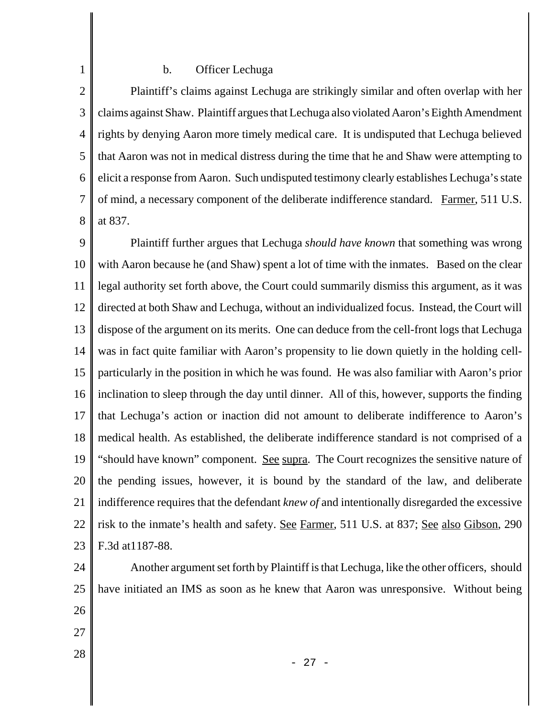## b. Officer Lechuga

2 3 4 5 6 7 8 Plaintiff's claims against Lechuga are strikingly similar and often overlap with her claims against Shaw. Plaintiff argues that Lechuga also violated Aaron's Eighth Amendment rights by denying Aaron more timely medical care. It is undisputed that Lechuga believed that Aaron was not in medical distress during the time that he and Shaw were attempting to elicit a response from Aaron. Such undisputed testimony clearly establishes Lechuga's state of mind, a necessary component of the deliberate indifference standard. Farmer, 511 U.S. at 837.

9 10 11 12 13 14 15 16 17 18 19 20 21 22 23 Plaintiff further argues that Lechuga *should have known* that something was wrong with Aaron because he (and Shaw) spent a lot of time with the inmates. Based on the clear legal authority set forth above, the Court could summarily dismiss this argument, as it was directed at both Shaw and Lechuga, without an individualized focus. Instead, the Court will dispose of the argument on its merits. One can deduce from the cell-front logs that Lechuga was in fact quite familiar with Aaron's propensity to lie down quietly in the holding cellparticularly in the position in which he was found. He was also familiar with Aaron's prior inclination to sleep through the day until dinner. All of this, however, supports the finding that Lechuga's action or inaction did not amount to deliberate indifference to Aaron's medical health. As established, the deliberate indifference standard is not comprised of a "should have known" component. See supra. The Court recognizes the sensitive nature of the pending issues, however, it is bound by the standard of the law, and deliberate indifference requires that the defendant *knew of* and intentionally disregarded the excessive risk to the inmate's health and safety. See Farmer, 511 U.S. at 837; See also Gibson, 290 F.3d at1187-88.

- 24 25 26 27 Another argument set forth by Plaintiff is that Lechuga, like the other officers, should have initiated an IMS as soon as he knew that Aaron was unresponsive. Without being
- 28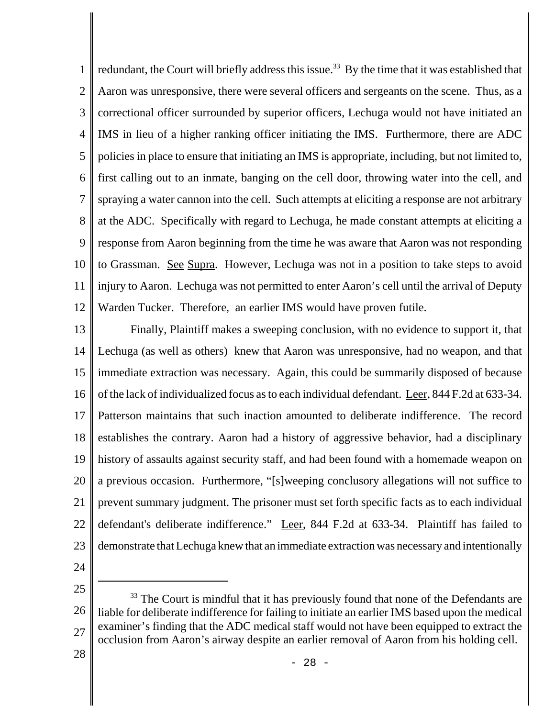1 2 3 4 5 6 7 8 9 10 11 12 redundant, the Court will briefly address this issue.<sup>33</sup> By the time that it was established that Aaron was unresponsive, there were several officers and sergeants on the scene. Thus, as a correctional officer surrounded by superior officers, Lechuga would not have initiated an IMS in lieu of a higher ranking officer initiating the IMS. Furthermore, there are ADC policies in place to ensure that initiating an IMS is appropriate, including, but not limited to, first calling out to an inmate, banging on the cell door, throwing water into the cell, and spraying a water cannon into the cell. Such attempts at eliciting a response are not arbitrary at the ADC. Specifically with regard to Lechuga, he made constant attempts at eliciting a response from Aaron beginning from the time he was aware that Aaron was not responding to Grassman. See Supra. However, Lechuga was not in a position to take steps to avoid injury to Aaron. Lechuga was not permitted to enter Aaron's cell until the arrival of Deputy Warden Tucker. Therefore, an earlier IMS would have proven futile.

13 14 15 16 17 18 19 20 21 22 23 Finally, Plaintiff makes a sweeping conclusion, with no evidence to support it, that Lechuga (as well as others) knew that Aaron was unresponsive, had no weapon, and that immediate extraction was necessary. Again, this could be summarily disposed of because of the lack of individualized focus as to each individual defendant. Leer, 844 F.2d at 633-34. Patterson maintains that such inaction amounted to deliberate indifference. The record establishes the contrary. Aaron had a history of aggressive behavior, had a disciplinary history of assaults against security staff, and had been found with a homemade weapon on a previous occasion. Furthermore, "[s]weeping conclusory allegations will not suffice to prevent summary judgment. The prisoner must set forth specific facts as to each individual defendant's deliberate indifference." Leer, 844 F.2d at 633-34. Plaintiff has failed to demonstrate that Lechuga knew that an immediate extraction was necessary and intentionally

<sup>25</sup> 26 27 <sup>33</sup> The Court is mindful that it has previously found that none of the Defendants are liable for deliberate indifference for failing to initiate an earlier IMS based upon the medical examiner's finding that the ADC medical staff would not have been equipped to extract the occlusion from Aaron's airway despite an earlier removal of Aaron from his holding cell.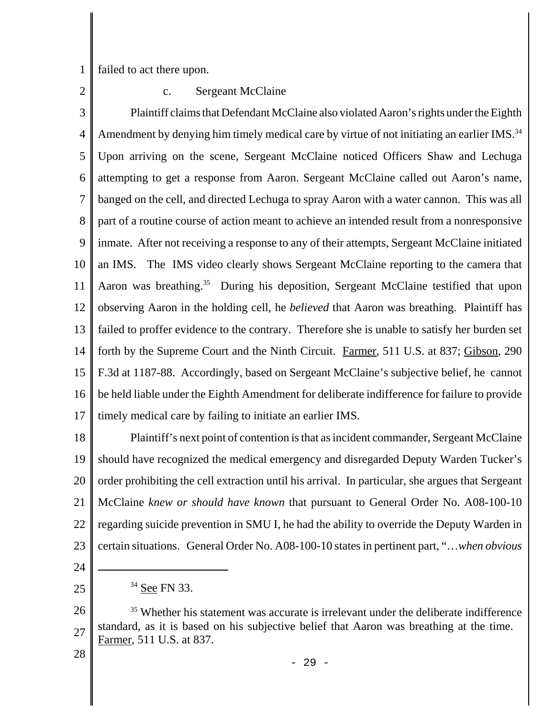1 failed to act there upon.

- 2 3 4 5 6 7 8 9 10 11 12 13 14 15 16 17 c. Sergeant McClaine Plaintiff claims that Defendant McClaine also violated Aaron's rights under the Eighth Amendment by denying him timely medical care by virtue of not initiating an earlier IMS.<sup>34</sup> Upon arriving on the scene, Sergeant McClaine noticed Officers Shaw and Lechuga attempting to get a response from Aaron. Sergeant McClaine called out Aaron's name, banged on the cell, and directed Lechuga to spray Aaron with a water cannon. This was all part of a routine course of action meant to achieve an intended result from a nonresponsive inmate. After not receiving a response to any of their attempts, Sergeant McClaine initiated an IMS. The IMS video clearly shows Sergeant McClaine reporting to the camera that Aaron was breathing.<sup>35</sup> During his deposition, Sergeant McClaine testified that upon observing Aaron in the holding cell, he *believed* that Aaron was breathing. Plaintiff has failed to proffer evidence to the contrary. Therefore she is unable to satisfy her burden set forth by the Supreme Court and the Ninth Circuit. Farmer, 511 U.S. at 837; Gibson, 290 F.3d at 1187-88. Accordingly, based on Sergeant McClaine's subjective belief, he cannot be held liable under the Eighth Amendment for deliberate indifference for failure to provide timely medical care by failing to initiate an earlier IMS.
- 18 19 20 21 22 23 Plaintiff's next point of contention is that as incident commander, Sergeant McClaine should have recognized the medical emergency and disregarded Deputy Warden Tucker's order prohibiting the cell extraction until his arrival. In particular, she argues that Sergeant McClaine *knew or should have known* that pursuant to General Order No. A08-100-10 regarding suicide prevention in SMU I, he had the ability to override the Deputy Warden in certain situations. General Order No. A08-100-10 states in pertinent part, "…*when obvious*
- 24

25

<sup>&</sup>lt;sup>34</sup> See FN 33.

<sup>26</sup> 27 <sup>35</sup> Whether his statement was accurate is irrelevant under the deliberate indifference standard, as it is based on his subjective belief that Aaron was breathing at the time. Farmer, 511 U.S. at 837.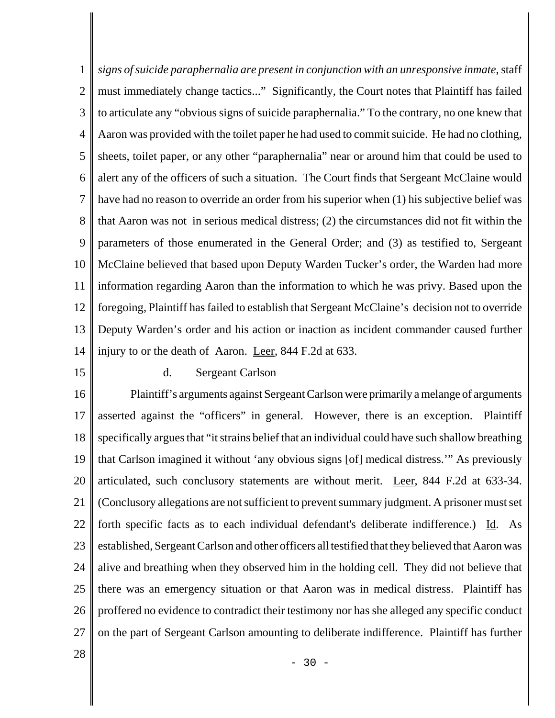1 2 3 4 5 6 7 8 9 10 11 12 13 14 *signs of suicide paraphernalia are present in conjunction with an unresponsive inmate*, staff must immediately change tactics..." Significantly, the Court notes that Plaintiff has failed to articulate any "obvious signs of suicide paraphernalia." To the contrary, no one knew that Aaron was provided with the toilet paper he had used to commit suicide. He had no clothing, sheets, toilet paper, or any other "paraphernalia" near or around him that could be used to alert any of the officers of such a situation. The Court finds that Sergeant McClaine would have had no reason to override an order from his superior when (1) his subjective belief was that Aaron was not in serious medical distress; (2) the circumstances did not fit within the parameters of those enumerated in the General Order; and (3) as testified to, Sergeant McClaine believed that based upon Deputy Warden Tucker's order, the Warden had more information regarding Aaron than the information to which he was privy. Based upon the foregoing, Plaintiff has failed to establish that Sergeant McClaine's decision not to override Deputy Warden's order and his action or inaction as incident commander caused further injury to or the death of Aaron. Leer, 844 F.2d at 633.

15

### d. Sergeant Carlson

16 17 18 19 20 21 22 23 24 25 26 27 Plaintiff's arguments against Sergeant Carlson were primarily a melange of arguments asserted against the "officers" in general. However, there is an exception. Plaintiff specifically argues that "it strains belief that an individual could have such shallow breathing that Carlson imagined it without 'any obvious signs [of] medical distress.'" As previously articulated, such conclusory statements are without merit. Leer, 844 F.2d at 633-34. (Conclusory allegations are not sufficient to prevent summary judgment. A prisoner must set forth specific facts as to each individual defendant's deliberate indifference.) Id. As established, Sergeant Carlson and other officers all testified that they believed that Aaron was alive and breathing when they observed him in the holding cell. They did not believe that there was an emergency situation or that Aaron was in medical distress. Plaintiff has proffered no evidence to contradict their testimony nor has she alleged any specific conduct on the part of Sergeant Carlson amounting to deliberate indifference. Plaintiff has further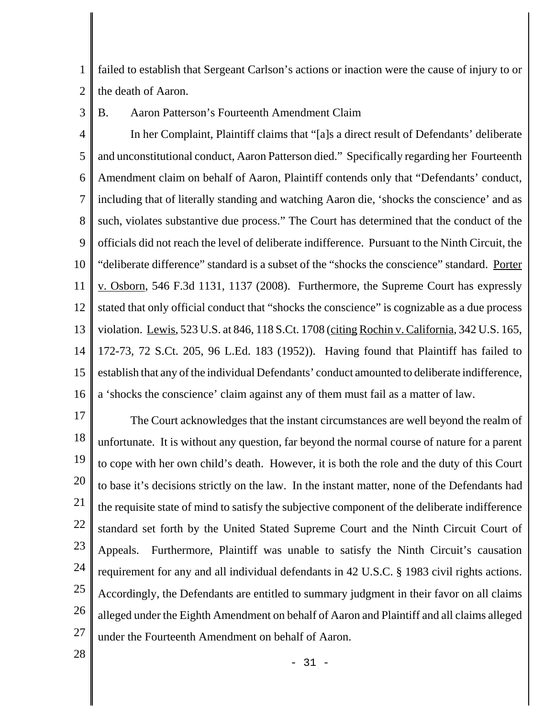1 2 failed to establish that Sergeant Carlson's actions or inaction were the cause of injury to or the death of Aaron.

3 B. Aaron Patterson's Fourteenth Amendment Claim

4 5 6 7 8 9 10 11 12 13 14 15 16 In her Complaint, Plaintiff claims that "[a]s a direct result of Defendants' deliberate and unconstitutional conduct, Aaron Patterson died." Specifically regarding her Fourteenth Amendment claim on behalf of Aaron, Plaintiff contends only that "Defendants' conduct, including that of literally standing and watching Aaron die, 'shocks the conscience' and as such, violates substantive due process." The Court has determined that the conduct of the officials did not reach the level of deliberate indifference. Pursuant to the Ninth Circuit, the "deliberate difference" standard is a subset of the "shocks the conscience" standard. Porter v. Osborn, 546 F.3d 1131, 1137 (2008). Furthermore, the Supreme Court has expressly stated that only official conduct that "shocks the conscience" is cognizable as a due process violation. Lewis, 523 U.S. at 846, 118 S.Ct. 1708 (citing Rochin v. California, 342 U.S. 165, 172-73, 72 S.Ct. 205, 96 L.Ed. 183 (1952)). Having found that Plaintiff has failed to establish that any of the individual Defendants' conduct amounted to deliberate indifference, a 'shocks the conscience' claim against any of them must fail as a matter of law.

17 18 19 20 21 22 23 24 25 26 27 The Court acknowledges that the instant circumstances are well beyond the realm of unfortunate. It is without any question, far beyond the normal course of nature for a parent to cope with her own child's death. However, it is both the role and the duty of this Court to base it's decisions strictly on the law. In the instant matter, none of the Defendants had the requisite state of mind to satisfy the subjective component of the deliberate indifference standard set forth by the United Stated Supreme Court and the Ninth Circuit Court of Appeals. Furthermore, Plaintiff was unable to satisfy the Ninth Circuit's causation requirement for any and all individual defendants in 42 U.S.C. § 1983 civil rights actions. Accordingly, the Defendants are entitled to summary judgment in their favor on all claims alleged under the Eighth Amendment on behalf of Aaron and Plaintiff and all claims alleged under the Fourteenth Amendment on behalf of Aaron.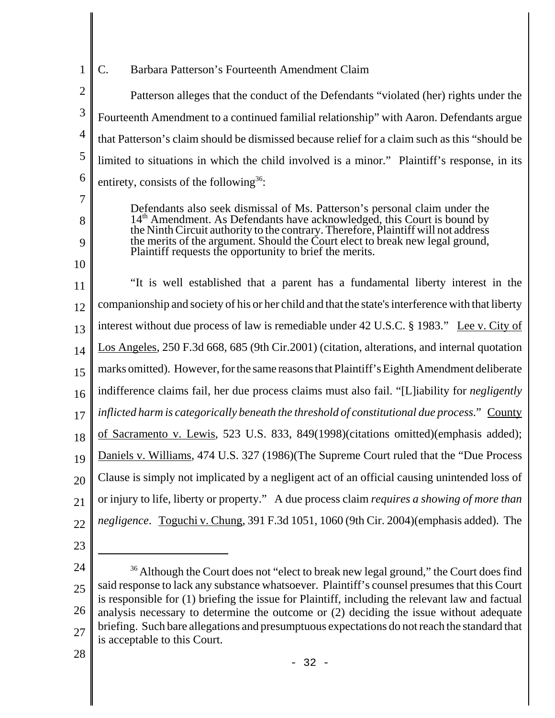1 C. Barbara Patterson's Fourteenth Amendment Claim

| $\overline{2}$    | Patterson alleges that the conduct of the Defendants "violated (her) rights under the                                                                                                                                                                                                                                                                                                               |
|-------------------|-----------------------------------------------------------------------------------------------------------------------------------------------------------------------------------------------------------------------------------------------------------------------------------------------------------------------------------------------------------------------------------------------------|
| 3                 | Fourteenth Amendment to a continued familial relationship" with Aaron. Defendants argue                                                                                                                                                                                                                                                                                                             |
| $\overline{4}$    | that Patterson's claim should be dismissed because relief for a claim such as this "should be                                                                                                                                                                                                                                                                                                       |
| 5                 | limited to situations in which the child involved is a minor." Plaintiff's response, in its                                                                                                                                                                                                                                                                                                         |
| 6                 | entirety, consists of the following <sup>36</sup> :                                                                                                                                                                                                                                                                                                                                                 |
| 7<br>8<br>9<br>10 | Defendants also seek dismissal of Ms. Patterson's personal claim under the<br>14 <sup>th</sup> Amendment. As Defendants have acknowledged, this Court is bound by<br>the Ninth Circuit authority to the contrary. Therefore, Plaintiff will not address<br>the merits of the argument. Should the Court elect to break new legal ground,<br>Plaintiff requests the opportunity to brief the merits. |
| 11                | "It is well established that a parent has a fundamental liberty interest in the                                                                                                                                                                                                                                                                                                                     |
| 12                | companionship and society of his or her child and that the state's interference with that liberty                                                                                                                                                                                                                                                                                                   |
| 13                | interest without due process of law is remediable under 42 U.S.C. § 1983." Lee v. City of                                                                                                                                                                                                                                                                                                           |
| 14                | Los Angeles, 250 F.3d 668, 685 (9th Cir.2001) (citation, alterations, and internal quotation                                                                                                                                                                                                                                                                                                        |
| 15                | marks omitted). However, for the same reasons that Plaintiff's Eighth Amendment deliberate                                                                                                                                                                                                                                                                                                          |
| 16                | indifference claims fail, her due process claims must also fail. "[L]iability for <i>negligently</i>                                                                                                                                                                                                                                                                                                |
| 17                | inflicted harm is categorically beneath the threshold of constitutional due process." County                                                                                                                                                                                                                                                                                                        |
| 18                | of Sacramento v. Lewis, 523 U.S. 833, 849(1998)(citations omitted)(emphasis added);                                                                                                                                                                                                                                                                                                                 |
| 19                | Daniels v. Williams, 474 U.S. 327 (1986)(The Supreme Court ruled that the "Due Process                                                                                                                                                                                                                                                                                                              |
| 20                | Clause is simply not implicated by a negligent act of an official causing unintended loss of                                                                                                                                                                                                                                                                                                        |
| 21                | or injury to life, liberty or property." A due process claim requires a showing of more than                                                                                                                                                                                                                                                                                                        |
| 22                | negligence. Toguchi v. Chung, 391 F.3d 1051, 1060 (9th Cir. 2004) (emphasis added). The                                                                                                                                                                                                                                                                                                             |
| 23                |                                                                                                                                                                                                                                                                                                                                                                                                     |
|                   |                                                                                                                                                                                                                                                                                                                                                                                                     |

- 24 25 26 27 <sup>36</sup> Although the Court does not "elect to break new legal ground," the Court does find said response to lack any substance whatsoever. Plaintiff's counsel presumes that this Court is responsible for (1) briefing the issue for Plaintiff, including the relevant law and factual analysis necessary to determine the outcome or (2) deciding the issue without adequate briefing. Such bare allegations and presumptuous expectations do not reach the standard that is acceptable to this Court.
- 28